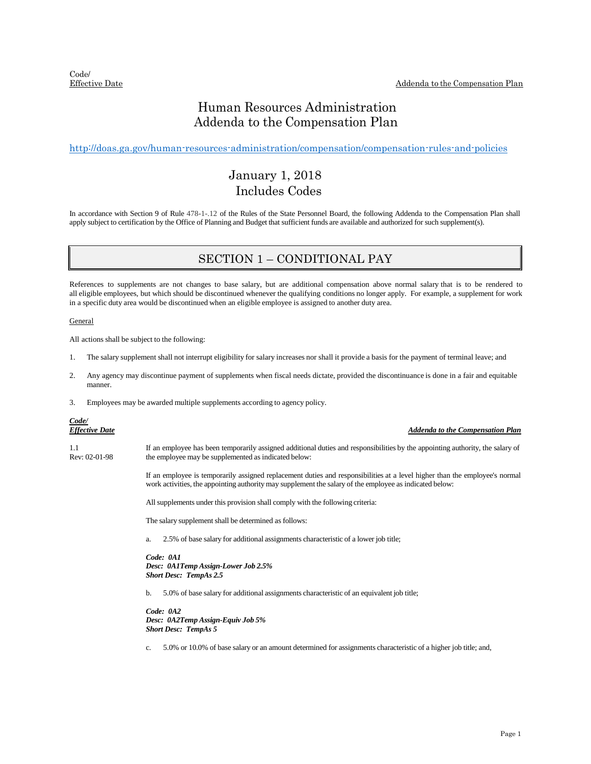### Human Resources Administration Addenda to the Compensation Plan

<http://doas.ga.gov/human-resources-administration/compensation/compensation-rules-and-policies>

### January 1, 2018 Includes Codes

In accordance with Section 9 of Rule 478-1-.12 of the Rules of the State Personnel Board, the following Addenda to the Compensation Plan shall apply subject to certification by the Office of Planning and Budget that sufficient funds are available and authorized for such supplement(s).

### SECTION 1 – CONDITIONAL PAY

References to supplements are not changes to base salary, but are additional compensation above normal salary that is to be rendered to all eligible employees, but which should be discontinued whenever the qualifying conditions no longer apply. For example, a supplement for work in a specific duty area would be discontinued when an eligible employee is assigned to another duty area.

General

All actions shall be subject to the following:

- 1. The salary supplement shall not interrupt eligibility for salary increases nor shall it provide a basis for the payment of terminal leave; and
- 2. Any agency may discontinue payment of supplements when fiscal needs dictate, provided the discontinuance is done in a fair and equitable manner.
- 3. Employees may be awarded multiple supplements according to agency policy.

## *Code/*

*Effective Date Addenda to the Compensation Plan*

1.1 Rev: 02-01-98 If an employee has been temporarily assigned additional duties and responsibilities by the appointing authority, the salary of the employee may be supplemented as indicated below:

> If an employee is temporarily assigned replacement duties and responsibilities at a level higher than the employee's normal work activities, the appointing authority may supplement the salary of the employee as indicated below:

All supplements under this provision shall comply with the following criteria:

The salary supplement shall be determined as follows:

a. 2.5% of base salary for additional assignments characteristic of a lower job title;

*Code: 0A1 Desc: 0A1Temp Assign-Lower Job 2.5% Short Desc: TempAs 2.5*

b. 5.0% of base salary for additional assignments characteristic of an equivalent job title;

*Code: 0A2 Desc: 0A2Temp Assign-Equiv Job 5% Short Desc: TempAs 5*

c. 5.0% or 10.0% of base salary or an amount determined for assignments characteristic of a higher job title; and,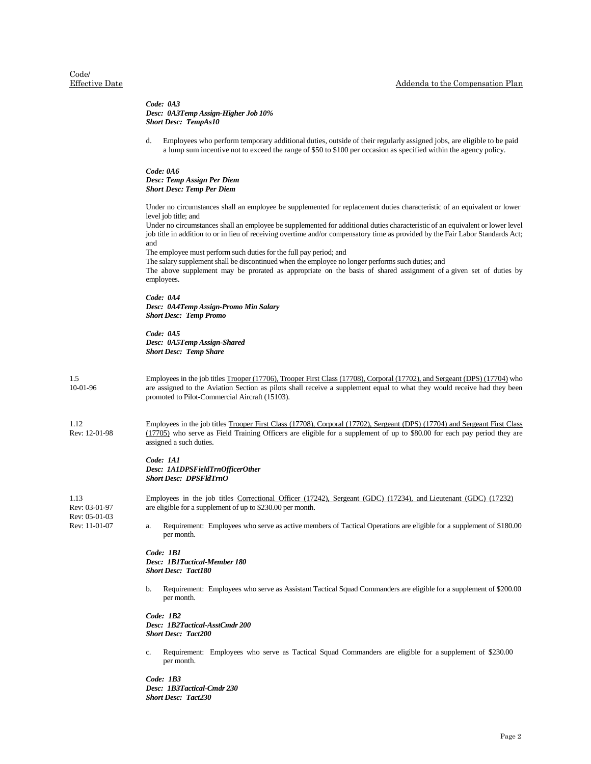# Code/<br>Effective Date

|                                | Code: 0A3<br>Desc: 0A3Temp Assign-Higher Job 10%<br><b>Short Desc: TempAs10</b>                                                                                                                                                                                                                                                                                                                                                                                                                                                                                                                                                                                                                                                           |
|--------------------------------|-------------------------------------------------------------------------------------------------------------------------------------------------------------------------------------------------------------------------------------------------------------------------------------------------------------------------------------------------------------------------------------------------------------------------------------------------------------------------------------------------------------------------------------------------------------------------------------------------------------------------------------------------------------------------------------------------------------------------------------------|
|                                | d.<br>Employees who perform temporary additional duties, outside of their regularly assigned jobs, are eligible to be paid<br>a lump sum incentive not to exceed the range of \$50 to \$100 per occasion as specified within the agency policy.                                                                                                                                                                                                                                                                                                                                                                                                                                                                                           |
|                                | Code: 0A6<br>Desc: Temp Assign Per Diem<br><b>Short Desc: Temp Per Diem</b>                                                                                                                                                                                                                                                                                                                                                                                                                                                                                                                                                                                                                                                               |
|                                | Under no circumstances shall an employee be supplemented for replacement duties characteristic of an equivalent or lower<br>level job title; and<br>Under no circumstances shall an employee be supplemented for additional duties characteristic of an equivalent or lower level<br>job title in addition to or in lieu of receiving overtime and/or compensatory time as provided by the Fair Labor Standards Act;<br>and<br>The employee must perform such duties for the full pay period; and<br>The salary supplement shall be discontinued when the employee no longer performs such duties; and<br>The above supplement may be prorated as appropriate on the basis of shared assignment of a given set of duties by<br>employees. |
|                                | Code: 0A4<br>Desc: 0A4Temp Assign-Promo Min Salary<br><b>Short Desc: Temp Promo</b>                                                                                                                                                                                                                                                                                                                                                                                                                                                                                                                                                                                                                                                       |
|                                | Code: 0A5<br>Desc: 0A5Temp Assign-Shared<br><b>Short Desc: Temp Share</b>                                                                                                                                                                                                                                                                                                                                                                                                                                                                                                                                                                                                                                                                 |
| 1.5<br>10-01-96                | Employees in the job titles Trooper (17706), Trooper First Class (17708), Corporal (17702), and Sergeant (DPS) (17704) who<br>are assigned to the Aviation Section as pilots shall receive a supplement equal to what they would receive had they been<br>promoted to Pilot-Commercial Aircraft (15103).                                                                                                                                                                                                                                                                                                                                                                                                                                  |
| 1.12<br>Rev: 12-01-98          | Employees in the job titles Trooper First Class (17708), Corporal (17702), Sergeant (DPS) (17704) and Sergeant First Class<br>(17705) who serve as Field Training Officers are eligible for a supplement of up to \$80.00 for each pay period they are<br>assigned a such duties.                                                                                                                                                                                                                                                                                                                                                                                                                                                         |
|                                | Code: 1A1<br>Desc: 1A1DPSFieldTrnOfficerOther<br><b>Short Desc: DPSFldTrnO</b>                                                                                                                                                                                                                                                                                                                                                                                                                                                                                                                                                                                                                                                            |
| 1.13<br>Rev: 03-01-97          | Employees in the job titles Correctional Officer (17242), Sergeant (GDC) (17234), and Lieutenant (GDC) (17232)<br>are eligible for a supplement of up to \$230.00 per month.                                                                                                                                                                                                                                                                                                                                                                                                                                                                                                                                                              |
| Rev: 05-01-03<br>Rev: 11-01-07 | Requirement: Employees who serve as active members of Tactical Operations are eligible for a supplement of \$180.00<br>a.<br>per month.                                                                                                                                                                                                                                                                                                                                                                                                                                                                                                                                                                                                   |
|                                | Code: 1B1<br>Desc: 1B1Tactical-Member 180<br><b>Short Desc: Tact180</b>                                                                                                                                                                                                                                                                                                                                                                                                                                                                                                                                                                                                                                                                   |
|                                | Requirement: Employees who serve as Assistant Tactical Squad Commanders are eligible for a supplement of \$200.00<br>b.<br>per month.                                                                                                                                                                                                                                                                                                                                                                                                                                                                                                                                                                                                     |
|                                | Code: 1B2<br>Desc: 1B2Tactical-AsstCmdr 200<br><b>Short Desc: Tact200</b>                                                                                                                                                                                                                                                                                                                                                                                                                                                                                                                                                                                                                                                                 |
|                                | Requirement: Employees who serve as Tactical Squad Commanders are eligible for a supplement of \$230.00<br>c.<br>per month.                                                                                                                                                                                                                                                                                                                                                                                                                                                                                                                                                                                                               |
|                                | Code: 1B3<br>Dosc: 1R3Tactical_Cmdr 230                                                                                                                                                                                                                                                                                                                                                                                                                                                                                                                                                                                                                                                                                                   |

*Desc: 1B3Tactical-Cmdr 230 Short Desc: Tact230*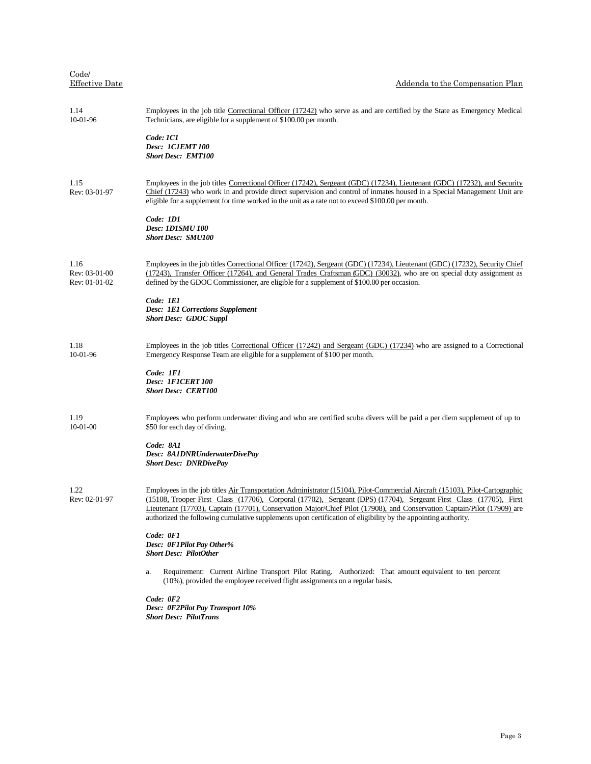| Code/<br><b>Effective Date</b>         | Addenda to the Compensation Plan                                                                                                                                                                                                                                                                                                                                                                                                                                                               |
|----------------------------------------|------------------------------------------------------------------------------------------------------------------------------------------------------------------------------------------------------------------------------------------------------------------------------------------------------------------------------------------------------------------------------------------------------------------------------------------------------------------------------------------------|
| 1.14<br>$10-01-96$                     | Employees in the job title Correctional Officer (17242) who serve as and are certified by the State as Emergency Medical<br>Technicians, are eligible for a supplement of \$100.00 per month.                                                                                                                                                                                                                                                                                                  |
|                                        | Code: 1C1<br>Desc: 1C1EMT 100<br><b>Short Desc: EMT100</b>                                                                                                                                                                                                                                                                                                                                                                                                                                     |
| 1.15<br>Rev: 03-01-97                  | Employees in the job titles Correctional Officer (17242), Sergeant (GDC) (17234), Lieutenant (GDC) (17232), and Security<br>Chief (17243) who work in and provide direct supervision and control of inmates housed in a Special Management Unit are<br>eligible for a supplement for time worked in the unit as a rate not to exceed \$100.00 per month.                                                                                                                                       |
|                                        | Code: 1D1<br><b>Desc: 1D1SMU 100</b><br><b>Short Desc: SMU100</b>                                                                                                                                                                                                                                                                                                                                                                                                                              |
| 1.16<br>Rev: 03-01-00<br>Rev: 01-01-02 | Employees in the job titles Correctional Officer (17242), Sergeant (GDC) (17234), Lieutenant (GDC) (17232), Security Chief<br>(17243), Transfer Officer (17264), and General Trades Craftsman (GDC) (30032), who are on special duty assignment as<br>defined by the GDOC Commissioner, are eligible for a supplement of \$100.00 per occasion.                                                                                                                                                |
|                                        | Code: 1E1<br><b>Desc: 1E1 Corrections Supplement</b><br><b>Short Desc: GDOC Suppl</b>                                                                                                                                                                                                                                                                                                                                                                                                          |
| 1.18<br>10-01-96                       | Employees in the job titles Correctional Officer (17242) and Sergeant (GDC) (17234) who are assigned to a Correctional<br>Emergency Response Team are eligible for a supplement of \$100 per month.                                                                                                                                                                                                                                                                                            |
|                                        | Code: 1F1<br>Desc: 1F1CERT100<br><b>Short Desc: CERT100</b>                                                                                                                                                                                                                                                                                                                                                                                                                                    |
| 1.19<br>$10-01-00$                     | Employees who perform underwater diving and who are certified scuba divers will be paid a per diem supplement of up to<br>\$50 for each day of diving.                                                                                                                                                                                                                                                                                                                                         |
|                                        | Code: 8A1<br>Desc: 8A1DNRUnderwaterDivePay<br><b>Short Desc: DNRDivePay</b>                                                                                                                                                                                                                                                                                                                                                                                                                    |
| 1.22<br>Rev: 02-01-97                  | Employees in the job titles Air Transportation Administrator (15104), Pilot-Commercial Aircraft (15103), Pilot-Cartographic<br>(15108, Trooper First Class (17706), Corporal (17702), Sergeant (DPS) (17704), Sergeant First Class (17705), First<br>Lieutenant (17703), Captain (17701), Conservation Major/Chief Pilot (17908), and Conservation Captain/Pilot (17909) are<br>authorized the following cumulative supplements upon certification of eligibility by the appointing authority. |
|                                        | Code: 0F1<br>Desc: 0F1Pilot Pay Other%<br><b>Short Desc: PilotOther</b>                                                                                                                                                                                                                                                                                                                                                                                                                        |
|                                        | Requirement: Current Airline Transport Pilot Rating. Authorized: That amount equivalent to ten percent<br>a.<br>(10%), provided the employee received flight assignments on a regular basis.                                                                                                                                                                                                                                                                                                   |
|                                        | $Code:$ $0F2$<br>Desc: 0F2Pilot Pay Transport 10%<br><b>Short Desc: PilotTrans</b>                                                                                                                                                                                                                                                                                                                                                                                                             |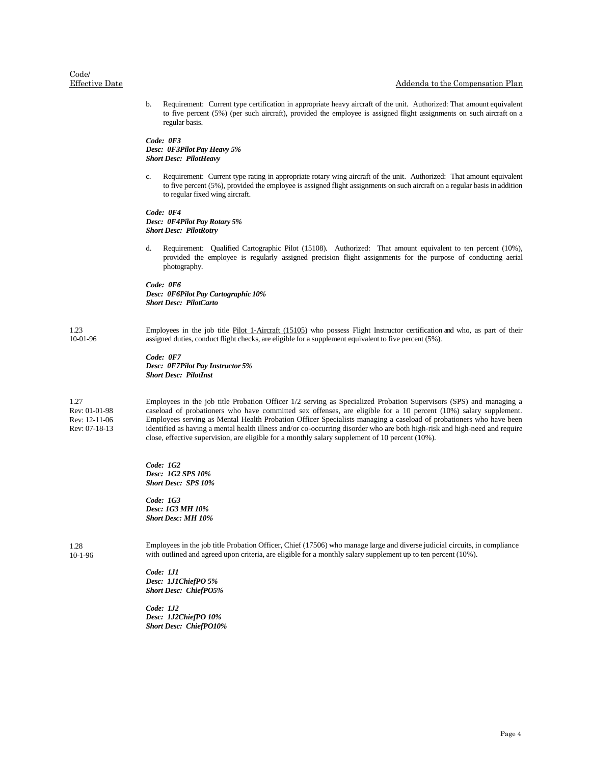b. Requirement: Current type certification in appropriate heavy aircraft of the unit. Authorized: That amount equivalent to five percent (5%) (per such aircraft), provided the employee is assigned flight assignments on such aircraft on a regular basis.

*Code: 0F3 Desc: 0F3Pilot Pay Heavy 5% Short Desc: PilotHeavy*

c. Requirement: Current type rating in appropriate rotary wing aircraft of the unit. Authorized: That amount equivalent to five percent (5%), provided the employee is assigned flight assignments on such aircraft on a regular basis in addition to regular fixed wing aircraft.

*Code: 0F4 Desc: 0F4Pilot Pay Rotary 5% Short Desc: PilotRotry*

d. Requirement: Qualified Cartographic Pilot (15108). Authorized: That amount equivalent to ten percent (10%), provided the employee is regularly assigned precision flight assignments for the purpose of conducting aerial photography.

*Code: 0F6 Desc: 0F6Pilot Pay Cartographic 10% Short Desc: PilotCarto*

1.23 10-01-96 Employees in the job title Pilot 1-Aircraft (15105) who possess Flight Instructor certification and who, as part of their assigned duties, conduct flight checks, are eligible for a supplement equivalent to five percent (5%).

> *Code: 0F7 Desc: 0F7Pilot Pay Instructor 5% Short Desc: PilotInst*

1.27 Rev: 01-01-98 Rev: 12-11-06 Rev: 07-18-13 Employees in the job title Probation Officer 1/2 serving as Specialized Probation Supervisors (SPS) and managing a caseload of probationers who have committed sex offenses, are eligible for a 10 percent (10%) salary supplement. Employees serving as Mental Health Probation Officer Specialists managing a caseload of probationers who have been identified as having a mental health illness and/or co-occurring disorder who are both high-risk and high-need and require close, effective supervision, are eligible for a monthly salary supplement of 10 percent (10%).

*Code: 1G2 Desc: 1G2 SPS 10% Short Desc: SPS 10%*

*Code: 1G3 Desc: 1G3 MH 10% Short Desc: MH 10%*

1.28 10-1-96 Employees in the job title Probation Officer, Chief (17506) who manage large and diverse judicial circuits, in compliance with outlined and agreed upon criteria, are eligible for a monthly salary supplement up to ten percent (10%).

*Code: 1J1 Desc: 1J1ChiefPO 5% Short Desc: ChiefPO5%*

*Code: 1J2 Desc: 1J2ChiefPO 10% Short Desc: ChiefPO10%*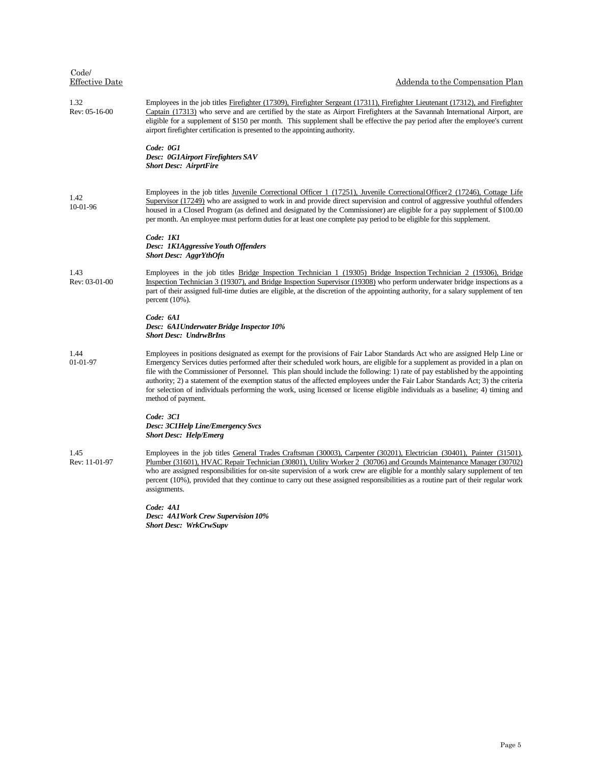| Code/<br><b>Effective Date</b> | Addenda to the Compensation Plan                                                                                                                                                                                                                                                                                                                                                                                                                                                                                                                                                                                                                                                    |
|--------------------------------|-------------------------------------------------------------------------------------------------------------------------------------------------------------------------------------------------------------------------------------------------------------------------------------------------------------------------------------------------------------------------------------------------------------------------------------------------------------------------------------------------------------------------------------------------------------------------------------------------------------------------------------------------------------------------------------|
| 1.32<br>Rev: 05-16-00          | Employees in the job titles Firefighter (17309), Firefighter Sergeant (17311), Firefighter Lieutenant (17312), and Firefighter<br>Captain (17313) who serve and are certified by the state as Airport Firefighters at the Savannah International Airport, are<br>eligible for a supplement of \$150 per month. This supplement shall be effective the pay period after the employee's current<br>airport firefighter certification is presented to the appointing authority.                                                                                                                                                                                                        |
|                                | Code: 0G1<br>Desc: 0G1Airport Firefighters SAV<br><b>Short Desc: AirprtFire</b>                                                                                                                                                                                                                                                                                                                                                                                                                                                                                                                                                                                                     |
| 1.42<br>10-01-96               | Employees in the job titles Juvenile Correctional Officer 1 (17251), Juvenile Correctional Officer 2 (17246), Cottage Life<br>Supervisor (17249) who are assigned to work in and provide direct supervision and control of aggressive youthful offenders<br>housed in a Closed Program (as defined and designated by the Commissioner) are eligible for a pay supplement of \$100.00<br>per month. An employee must perform duties for at least one complete pay period to be eligible for this supplement.                                                                                                                                                                         |
|                                | Code: 1K1<br>Desc: 1K1Aggressive Youth Offenders<br><b>Short Desc: AggrYthOfn</b>                                                                                                                                                                                                                                                                                                                                                                                                                                                                                                                                                                                                   |
| 1.43<br>Rev: 03-01-00          | Employees in the job titles Bridge Inspection Technician 1 (19305) Bridge Inspection Technician 2 (19306), Bridge<br>Inspection Technician 3 (19307), and Bridge Inspection Supervisor (19308) who perform underwater bridge inspections as a<br>part of their assigned full-time duties are eligible, at the discretion of the appointing authority, for a salary supplement of ten<br>percent $(10\%)$ .                                                                                                                                                                                                                                                                          |
|                                | Code: 6A1<br>Desc: 6A1Underwater Bridge Inspector 10%<br><b>Short Desc: UndrwBrIns</b>                                                                                                                                                                                                                                                                                                                                                                                                                                                                                                                                                                                              |
| 1.44<br>01-01-97               | Employees in positions designated as exempt for the provisions of Fair Labor Standards Act who are assigned Help Line or<br>Emergency Services duties performed after their scheduled work hours, are eligible for a supplement as provided in a plan on<br>file with the Commissioner of Personnel. This plan should include the following: 1) rate of pay established by the appointing<br>authority; 2) a statement of the exemption status of the affected employees under the Fair Labor Standards Act; 3) the criteria<br>for selection of individuals performing the work, using licensed or license eligible individuals as a baseline; 4) timing and<br>method of payment. |
|                                | Code: 3C1<br><b>Desc: 3C1Help Line/Emergency Svcs</b><br><b>Short Desc: Help/Emerg</b>                                                                                                                                                                                                                                                                                                                                                                                                                                                                                                                                                                                              |

1.45 Rev: 11-01-97 Employees in the job titles General Trades Craftsman (30003), Carpenter (30201), Electrician (30401), Painter (31501), Plumber (31601), HVAC Repair Technician (30801), Utility Worker 2 (30706) and Grounds Maintenance Manager (30702) who are assigned responsibilities for on-site supervision of a work crew are eligible for a monthly salary supplement of ten percent (10%), provided that they continue to carry out these assigned responsibilities as a routine part of their regular work assignments.

> *Code: 4A1 Desc: 4A1Work Crew Supervision 10% Short Desc: WrkCrwSupv*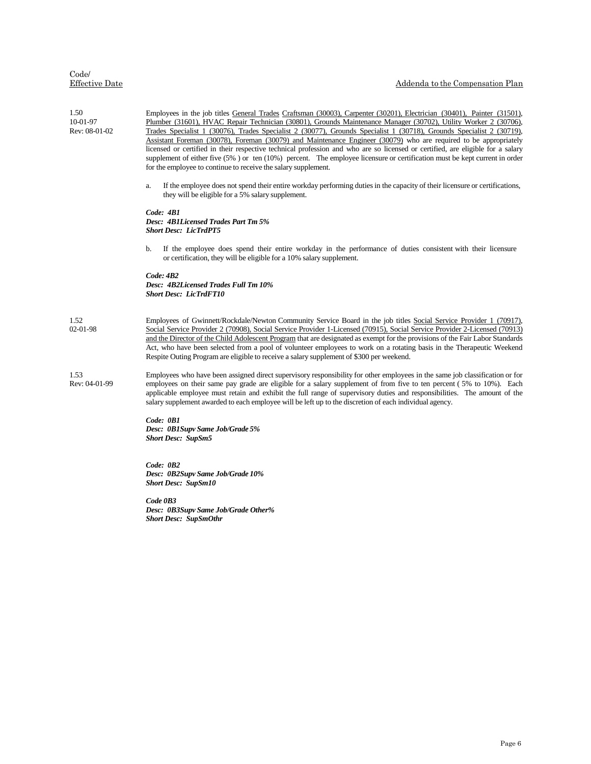| Code/          |  |
|----------------|--|
| Effective Date |  |

| 1.50<br>10-01-97<br>Rev: 08-01-02 | Employees in the job titles General Trades Craftsman (30003), Carpenter (30201), Electrician (30401), Painter (31501),<br>Plumber (31601), HVAC Repair Technician (30801), Grounds Maintenance Manager (30702), Utility Worker 2 (30706),<br>Trades Specialist 1 (30076), Trades Specialist 2 (30077), Grounds Specialist 1 (30718), Grounds Specialist 2 (30719),<br>Assistant Foreman (30078), Foreman (30079) and Maintenance Engineer (30079) who are required to be appropriately<br>licensed or certified in their respective technical profession and who are so licensed or certified, are eligible for a salary<br>supplement of either five (5%) or ten (10%) percent. The employee licensure or certification must be kept current in order<br>for the employee to continue to receive the salary supplement.<br>If the employee does not spend their entire workday performing duties in the capacity of their licensure or certifications,<br>a.<br>they will be eligible for a 5% salary supplement.<br>Code: 4B1<br><b>Desc: 4B1Licensed Trades Part Tm 5%</b><br><b>Short Desc: LicTrdPT5</b><br>If the employee does spend their entire workday in the performance of duties consistent with their licensure<br>b.<br>or certification, they will be eligible for a 10% salary supplement.<br>Code: 4B2<br>Desc: 4B2Licensed Trades Full Tm 10%<br><b>Short Desc: LicTrdFT10</b> |  |
|-----------------------------------|---------------------------------------------------------------------------------------------------------------------------------------------------------------------------------------------------------------------------------------------------------------------------------------------------------------------------------------------------------------------------------------------------------------------------------------------------------------------------------------------------------------------------------------------------------------------------------------------------------------------------------------------------------------------------------------------------------------------------------------------------------------------------------------------------------------------------------------------------------------------------------------------------------------------------------------------------------------------------------------------------------------------------------------------------------------------------------------------------------------------------------------------------------------------------------------------------------------------------------------------------------------------------------------------------------------------------------------------------------------------------------------------------|--|
| 1.52<br>$02 - 01 - 98$            | Employees of Gwinnett/Rockdale/Newton Community Service Board in the job titles Social Service Provider 1 (70917),<br>Social Service Provider 2 (70908), Social Service Provider 1-Licensed (70915), Social Service Provider 2-Licensed (70913)<br>and the Director of the Child Adolescent Program that are designated as exempt for the provisions of the Fair Labor Standards<br>Act, who have been selected from a pool of volunteer employees to work on a rotating basis in the Therapeutic Weekend<br>Respite Outing Program are eligible to receive a salary supplement of \$300 per weekend.                                                                                                                                                                                                                                                                                                                                                                                                                                                                                                                                                                                                                                                                                                                                                                                             |  |
| 1.53<br>Rev: 04-01-99             | Employees who have been assigned direct supervisory responsibility for other employees in the same job classification or for<br>employees on their same pay grade are eligible for a salary supplement of from five to ten percent (5% to 10%). Each<br>applicable employee must retain and exhibit the full range of supervisory duties and responsibilities. The amount of the<br>salary supplement awarded to each employee will be left up to the discretion of each individual agency.<br>Code: 0B1<br>Desc: 0B1Supv Same Job/Grade 5%<br><b>Short Desc: SupSm5</b>                                                                                                                                                                                                                                                                                                                                                                                                                                                                                                                                                                                                                                                                                                                                                                                                                          |  |
|                                   | Code: OB2<br>Desc: 0B2Supv Same Job/Grade 10%<br><b>Short Desc: SupSm10</b><br>Code 0B3<br>Desc: 0B3Supv Same Job/Grade Other%<br><b>Short Desc: SupSmOthr</b>                                                                                                                                                                                                                                                                                                                                                                                                                                                                                                                                                                                                                                                                                                                                                                                                                                                                                                                                                                                                                                                                                                                                                                                                                                    |  |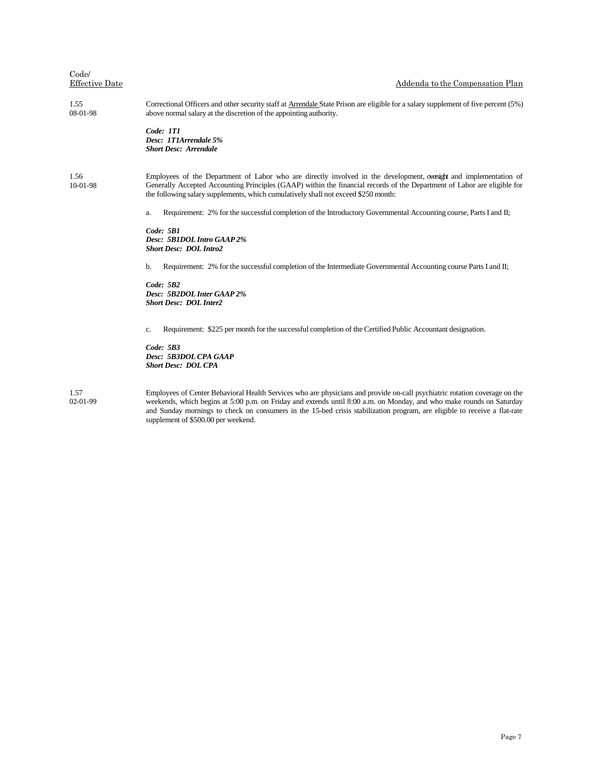| Code/<br><b>Effective Date</b> | Addenda to the Compensation Plan                                                                                                                                                                                                                                                                                                     |
|--------------------------------|--------------------------------------------------------------------------------------------------------------------------------------------------------------------------------------------------------------------------------------------------------------------------------------------------------------------------------------|
| 1.55<br>08-01-98               | Correctional Officers and other security staff at Arrendale State Prison are eligible for a salary supplement of five percent (5%)<br>above normal salary at the discretion of the appointing authority.                                                                                                                             |
|                                | Code: 1T1<br>Desc: 1T1Arrendale 5%<br><b>Short Desc: Arrendale</b>                                                                                                                                                                                                                                                                   |
| 1.56<br>10-01-98               | Employees of the Department of Labor who are directly involved in the development, oversight and implementation of<br>Generally Accepted Accounting Principles (GAAP) within the financial records of the Department of Labor are eligible for<br>the following salary supplements, which cumulatively shall not exceed \$250 month: |
|                                | Requirement: 2% for the successful completion of the Introductory Governmental Accounting course, Parts I and II;<br>a.                                                                                                                                                                                                              |
|                                | $Code:$ 5B1<br>Desc: 5B1DOL Intro GAAP 2%<br><b>Short Desc: DOL Intro2</b>                                                                                                                                                                                                                                                           |
|                                | Requirement: 2% for the successful completion of the Intermediate Governmental Accounting course Parts I and II;<br>b.                                                                                                                                                                                                               |
|                                | Code: 5B2<br>Desc: 5B2DOL Inter GAAP 2%<br><b>Short Desc: DOL Inter2</b>                                                                                                                                                                                                                                                             |
|                                | Requirement: \$225 per month for the successful completion of the Certified Public Accountant designation.<br>c.                                                                                                                                                                                                                     |
|                                | Code: 5B3<br>Desc: 5B3DOL CPA GAAP<br><b>Short Desc: DOL CPA</b>                                                                                                                                                                                                                                                                     |
| 1.57<br>$02 - 01 - 99$         | Employees of Center Behavioral Health Services who are physicians and provide on-call psychiatric rotation coverage on the<br>weekends, which begins at 5:00 p.m. on Friday and extends until 8:00 a.m. on Monday, and who make rounds on Saturday                                                                                   |

weekends, which begins at 5:00 p.m. on Friday and extends until 8:00 a.m. on Monday, and who make rounds on Saturday and Sunday mornings to check on consumers in the 15-bed crisis stabilization program, are eligible to receive a flat-rate supplement of \$500.00 per weekend.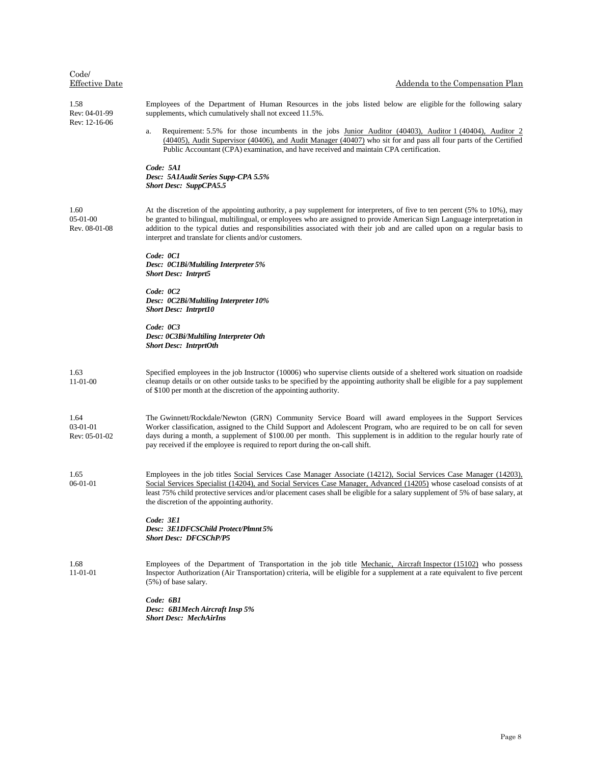| Code/<br><b>Effective Date</b>      | Addenda to the Compensation Plan                                                                                                                                                                                                                                                                                                                                                                                                          |
|-------------------------------------|-------------------------------------------------------------------------------------------------------------------------------------------------------------------------------------------------------------------------------------------------------------------------------------------------------------------------------------------------------------------------------------------------------------------------------------------|
| 1.58<br>Rev: 04-01-99               | Employees of the Department of Human Resources in the jobs listed below are eligible for the following salary<br>supplements, which cumulatively shall not exceed 11.5%.                                                                                                                                                                                                                                                                  |
| Rev: 12-16-06                       | Requirement: 5.5% for those incumbents in the jobs Junior Auditor (40403), Auditor 1 (40404), Auditor 2<br>a.<br>(40405), Audit Supervisor (40406), and Audit Manager (40407) who sit for and pass all four parts of the Certified<br>Public Accountant (CPA) examination, and have received and maintain CPA certification.                                                                                                              |
|                                     | Code: 5A1<br>Desc: 5A1Audit Series Supp-CPA 5.5%<br><b>Short Desc: SuppCPA5.5</b>                                                                                                                                                                                                                                                                                                                                                         |
| 1.60<br>$05-01-00$<br>Rev. 08-01-08 | At the discretion of the appointing authority, a pay supplement for interpreters, of five to ten percent (5% to 10%), may<br>be granted to bilingual, multilingual, or employees who are assigned to provide American Sign Language interpretation in<br>addition to the typical duties and responsibilities associated with their job and are called upon on a regular basis to<br>interpret and translate for clients and/or customers. |
|                                     | Code: 0C1<br>Desc: 0C1Bi/Multiling Interpreter 5%<br><b>Short Desc: Intrprt5</b>                                                                                                                                                                                                                                                                                                                                                          |
|                                     | Code: 0C2<br>Desc: 0C2Bi/Multiling Interpreter 10%<br><b>Short Desc: Intrprt10</b>                                                                                                                                                                                                                                                                                                                                                        |
|                                     | Code: 0C3<br>Desc: 0C3Bi/Multiling Interpreter Oth<br><b>Short Desc: IntrprtOth</b>                                                                                                                                                                                                                                                                                                                                                       |
| 1.63<br>11-01-00                    | Specified employees in the job Instructor (10006) who supervise clients outside of a sheltered work situation on roadside<br>cleanup details or on other outside tasks to be specified by the appointing authority shall be eligible for a pay supplement<br>of \$100 per month at the discretion of the appointing authority.                                                                                                            |
| 1.64<br>03-01-01<br>Rev: 05-01-02   | The Gwinnett/Rockdale/Newton (GRN) Community Service Board will award employees in the Support Services<br>Worker classification, assigned to the Child Support and Adolescent Program, who are required to be on call for seven<br>days during a month, a supplement of \$100.00 per month. This supplement is in addition to the regular hourly rate of<br>pay received if the employee is required to report during the on-call shift. |
| 1.65<br>$06-01-01$                  | Employees in the job titles Social Services Case Manager Associate (14212), Social Services Case Manager (14203),<br>Social Services Specialist (14204), and Social Services Case Manager, Advanced (14205) whose caseload consists of at<br>least 75% child protective services and/or placement cases shall be eligible for a salary supplement of 5% of base salary, at<br>the discretion of the appointing authority.                 |
|                                     | Code: 3E1<br>Desc: 3E1DFCSChild Protect/Plmnt 5%<br><b>Short Desc: DFCSChP/P5</b>                                                                                                                                                                                                                                                                                                                                                         |
| 1.68<br>11-01-01                    | Employees of the Department of Transportation in the job title Mechanic, Aircraft Inspector (15102) who possess<br>Inspector Authorization (Air Transportation) criteria, will be eligible for a supplement at a rate equivalent to five percent<br>(5%) of base salary.                                                                                                                                                                  |
|                                     | Code: 6B1<br>Desc: 6B1Mech Aircraft Insp 5%<br><b>Short Desc: MechAirIns</b>                                                                                                                                                                                                                                                                                                                                                              |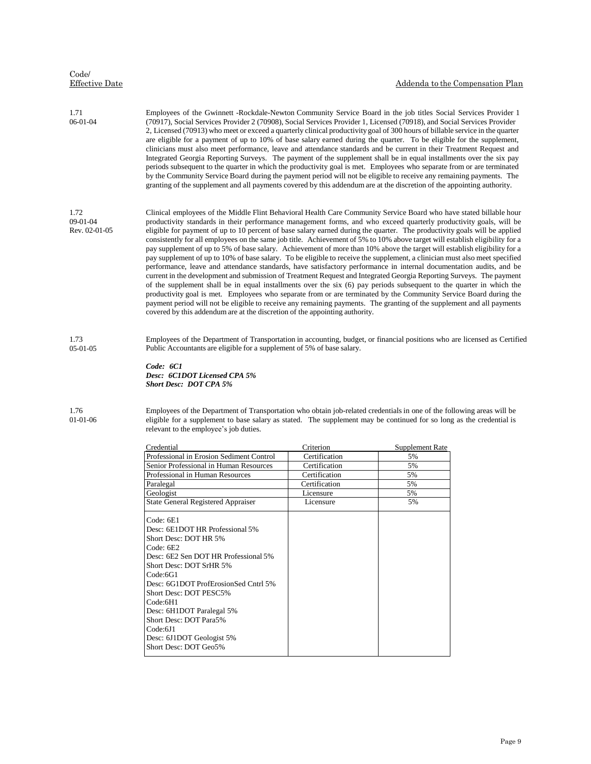| Code/<br><b>Effective Date</b>    |                                                                                                                                                                                                                                                                                                                                                                                                                                                                                                                                                                                                                                                                                                                                                                                                                                                                                                                                                                                                                                                                                                                                                                                                                                                                                                                                                                                                                                                                        |                            |                              | Addenda to the Compensation Plan |  |
|-----------------------------------|------------------------------------------------------------------------------------------------------------------------------------------------------------------------------------------------------------------------------------------------------------------------------------------------------------------------------------------------------------------------------------------------------------------------------------------------------------------------------------------------------------------------------------------------------------------------------------------------------------------------------------------------------------------------------------------------------------------------------------------------------------------------------------------------------------------------------------------------------------------------------------------------------------------------------------------------------------------------------------------------------------------------------------------------------------------------------------------------------------------------------------------------------------------------------------------------------------------------------------------------------------------------------------------------------------------------------------------------------------------------------------------------------------------------------------------------------------------------|----------------------------|------------------------------|----------------------------------|--|
| 1.71<br>06-01-04                  | Employees of the Gwinnett -Rockdale-Newton Community Service Board in the job titles Social Services Provider 1<br>(70917), Social Services Provider 2 (70908), Social Services Provider 1, Licensed (70918), and Social Services Provider<br>2, Licensed (70913) who meet or exceed a quarterly clinical productivity goal of 300 hours of billable service in the quarter<br>are eligible for a payment of up to 10% of base salary earned during the quarter. To be eligible for the supplement,<br>clinicians must also meet performance, leave and attendance standards and be current in their Treatment Request and<br>Integrated Georgia Reporting Surveys. The payment of the supplement shall be in equal installments over the six pay<br>periods subsequent to the quarter in which the productivity goal is met. Employees who separate from or are terminated<br>by the Community Service Board during the payment period will not be eligible to receive any remaining payments. The<br>granting of the supplement and all payments covered by this addendum are at the discretion of the appointing authority.                                                                                                                                                                                                                                                                                                                                         |                            |                              |                                  |  |
| 1.72<br>09-01-04<br>Rev. 02-01-05 | Clinical employees of the Middle Flint Behavioral Health Care Community Service Board who have stated billable hour<br>productivity standards in their performance management forms, and who exceed quarterly productivity goals, will be<br>eligible for payment of up to 10 percent of base salary earned during the quarter. The productivity goals will be applied<br>consistently for all employees on the same job title. Achievement of 5% to 10% above target will establish eligibility for a<br>pay supplement of up to 5% of base salary. Achievement of more than 10% above the target will establish eligibility for a<br>pay supplement of up to 10% of base salary. To be eligible to receive the supplement, a clinician must also meet specified<br>performance, leave and attendance standards, have satisfactory performance in internal documentation audits, and be<br>current in the development and submission of Treatment Request and Integrated Georgia Reporting Surveys. The payment<br>of the supplement shall be in equal installments over the six (6) pay periods subsequent to the quarter in which the<br>productivity goal is met. Employees who separate from or are terminated by the Community Service Board during the<br>payment period will not be eligible to receive any remaining payments. The granting of the supplement and all payments<br>covered by this addendum are at the discretion of the appointing authority. |                            |                              |                                  |  |
| 1.73<br>$05-01-05$                | Employees of the Department of Transportation in accounting, budget, or financial positions who are licensed as Certified<br>Public Accountants are eligible for a supplement of 5% of base salary.<br>Code: 6C1<br>Desc: 6C1DOT Licensed CPA 5%<br><b>Short Desc: DOT CPA 5%</b>                                                                                                                                                                                                                                                                                                                                                                                                                                                                                                                                                                                                                                                                                                                                                                                                                                                                                                                                                                                                                                                                                                                                                                                      |                            |                              |                                  |  |
| 1.76<br>$01-01-06$                | Employees of the Department of Transportation who obtain job-related credentials in one of the following areas will be<br>eligible for a supplement to base salary as stated. The supplement may be continued for so long as the credential is<br>relevant to the employee's job duties.                                                                                                                                                                                                                                                                                                                                                                                                                                                                                                                                                                                                                                                                                                                                                                                                                                                                                                                                                                                                                                                                                                                                                                               |                            |                              |                                  |  |
|                                   |                                                                                                                                                                                                                                                                                                                                                                                                                                                                                                                                                                                                                                                                                                                                                                                                                                                                                                                                                                                                                                                                                                                                                                                                                                                                                                                                                                                                                                                                        |                            |                              |                                  |  |
|                                   | Credential<br>Professional in Erosion Sediment Control                                                                                                                                                                                                                                                                                                                                                                                                                                                                                                                                                                                                                                                                                                                                                                                                                                                                                                                                                                                                                                                                                                                                                                                                                                                                                                                                                                                                                 | Criterion<br>Certification | <b>Supplement Rate</b><br>5% |                                  |  |
|                                   | Senior Professional in Human Resources                                                                                                                                                                                                                                                                                                                                                                                                                                                                                                                                                                                                                                                                                                                                                                                                                                                                                                                                                                                                                                                                                                                                                                                                                                                                                                                                                                                                                                 | Certification              | 5%                           |                                  |  |
|                                   | Professional in Human Resources                                                                                                                                                                                                                                                                                                                                                                                                                                                                                                                                                                                                                                                                                                                                                                                                                                                                                                                                                                                                                                                                                                                                                                                                                                                                                                                                                                                                                                        | Certification              | 5%                           |                                  |  |
|                                   | Paralegal                                                                                                                                                                                                                                                                                                                                                                                                                                                                                                                                                                                                                                                                                                                                                                                                                                                                                                                                                                                                                                                                                                                                                                                                                                                                                                                                                                                                                                                              | Certification              | 5%                           |                                  |  |
|                                   | Geologist                                                                                                                                                                                                                                                                                                                                                                                                                                                                                                                                                                                                                                                                                                                                                                                                                                                                                                                                                                                                                                                                                                                                                                                                                                                                                                                                                                                                                                                              | Licensure                  | 5%                           |                                  |  |
|                                   | <b>State General Registered Appraiser</b>                                                                                                                                                                                                                                                                                                                                                                                                                                                                                                                                                                                                                                                                                                                                                                                                                                                                                                                                                                                                                                                                                                                                                                                                                                                                                                                                                                                                                              | Licensure                  | 5%                           |                                  |  |
|                                   | Code: 6E1<br>Desc: 6E1DOT HR Professional 5%<br>Short Desc: DOT HR 5%<br>Code: 6E2<br>Desc: 6E2 Sen DOT HR Professional 5%<br>Short Desc: DOT SrHR 5%<br>Code:6G1<br>Desc: 6G1DOT ProfErosionSed Cntrl 5%<br>Short Desc: DOT PESC5%<br>Code:6H1<br>Desc: 6H1DOT Paralegal 5%<br>Short Desc: DOT Para5%<br>Code:6J1<br>Desc: 6J1DOT Geologist 5%<br>Short Desc: DOT Geo5%                                                                                                                                                                                                                                                                                                                                                                                                                                                                                                                                                                                                                                                                                                                                                                                                                                                                                                                                                                                                                                                                                               |                            |                              |                                  |  |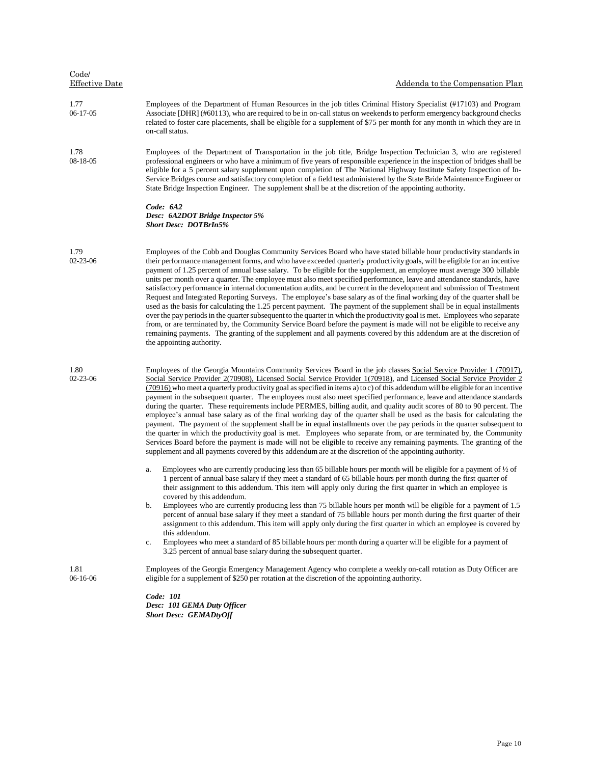| Code/<br><b>Effective Date</b> | Addenda to the Compensation Plan                                                                                                                                                                                                                                                                                                                                                                                                                                                                                                                                                                                                                                                                                                                                                                                                                                                                                                                                                                                                                                                                                                                                                                                                                                                                         |
|--------------------------------|----------------------------------------------------------------------------------------------------------------------------------------------------------------------------------------------------------------------------------------------------------------------------------------------------------------------------------------------------------------------------------------------------------------------------------------------------------------------------------------------------------------------------------------------------------------------------------------------------------------------------------------------------------------------------------------------------------------------------------------------------------------------------------------------------------------------------------------------------------------------------------------------------------------------------------------------------------------------------------------------------------------------------------------------------------------------------------------------------------------------------------------------------------------------------------------------------------------------------------------------------------------------------------------------------------|
| 1.77<br>06-17-05               | Employees of the Department of Human Resources in the job titles Criminal History Specialist (#17103) and Program<br>Associate [DHR] (#60113), who are required to be in on-call status on weekends to perform emergency background checks<br>related to foster care placements, shall be eligible for a supplement of \$75 per month for any month in which they are in<br>on-call status.                                                                                                                                                                                                                                                                                                                                                                                                                                                                                                                                                                                                                                                                                                                                                                                                                                                                                                              |
| 1.78<br>08-18-05               | Employees of the Department of Transportation in the job title, Bridge Inspection Technician 3, who are registered<br>professional engineers or who have a minimum of five years of responsible experience in the inspection of bridges shall be<br>eligible for a 5 percent salary supplement upon completion of The National Highway Institute Safety Inspection of In-<br>Service Bridges course and satisfactory completion of a field test administered by the State Bride Maintenance Engineer or<br>State Bridge Inspection Engineer. The supplement shall be at the discretion of the appointing authority.                                                                                                                                                                                                                                                                                                                                                                                                                                                                                                                                                                                                                                                                                      |
|                                | Code: 6A2<br>Desc: 6A2DOT Bridge Inspector 5%<br><b>Short Desc: DOTBrIn5%</b>                                                                                                                                                                                                                                                                                                                                                                                                                                                                                                                                                                                                                                                                                                                                                                                                                                                                                                                                                                                                                                                                                                                                                                                                                            |
| 1.79<br>02-23-06               | Employees of the Cobb and Douglas Community Services Board who have stated billable hour productivity standards in<br>their performance management forms, and who have exceeded quarterly productivity goals, will be eligible for an incentive<br>payment of 1.25 percent of annual base salary. To be eligible for the supplement, an employee must average 300 billable<br>units per month over a quarter. The employee must also meet specified performance, leave and attendance standards, have<br>satisfactory performance in internal documentation audits, and be current in the development and submission of Treatment<br>Request and Integrated Reporting Surveys. The employee's base salary as of the final working day of the quarter shall be<br>used as the basis for calculating the 1.25 percent payment. The payment of the supplement shall be in equal installments<br>over the pay periods in the quarter subsequent to the quarter in which the productivity goal is met. Employees who separate<br>from, or are terminated by, the Community Service Board before the payment is made will not be eligible to receive any<br>remaining payments. The granting of the supplement and all payments covered by this addendum are at the discretion of<br>the appointing authority. |
| 1.80<br>02-23-06               | Employees of the Georgia Mountains Community Services Board in the job classes Social Service Provider 1 (70917),<br>Social Service Provider 2(70908), Licensed Social Service Provider 1(70918), and Licensed Social Service Provider 2<br>(70916) who meet a quarterly productivity goal as specified in items a) to c) of this addendum will be eligible for an incentive<br>payment in the subsequent quarter. The employees must also meet specified performance, leave and attendance standards<br>during the quarter. These requirements include PERMES, billing audit, and quality audit scores of 80 to 90 percent. The<br>employee's annual base salary as of the final working day of the quarter shall be used as the basis for calculating the<br>payment. The payment of the supplement shall be in equal installments over the pay periods in the quarter subsequent to<br>the quarter in which the productivity goal is met. Employees who separate from, or are terminated by, the Community<br>Services Board before the payment is made will not be eligible to receive any remaining payments. The granting of the<br>supplement and all payments covered by this addendum are at the discretion of the appointing authority.                                                        |
|                                | Employees who are currently producing less than 65 billable hours per month will be eligible for a payment of $\frac{1}{2}$ of<br>a.<br>1 percent of annual base salary if they meet a standard of 65 billable hours per month during the first quarter of<br>their assignment to this addendum. This item will apply only during the first quarter in which an employee is<br>covered by this addendum.<br>Employees who are currently producing less than 75 billable hours per month will be eligible for a payment of 1.5<br>b.<br>percent of annual base salary if they meet a standard of 75 billable hours per month during the first quarter of their<br>assignment to this addendum. This item will apply only during the first quarter in which an employee is covered by<br>this addendum.<br>Employees who meet a standard of 85 billable hours per month during a quarter will be eligible for a payment of<br>c.<br>3.25 percent of annual base salary during the subsequent quarter.                                                                                                                                                                                                                                                                                                      |
| 1.81<br>06-16-06               | Employees of the Georgia Emergency Management Agency who complete a weekly on-call rotation as Duty Officer are<br>eligible for a supplement of \$250 per rotation at the discretion of the appointing authority.                                                                                                                                                                                                                                                                                                                                                                                                                                                                                                                                                                                                                                                                                                                                                                                                                                                                                                                                                                                                                                                                                        |
|                                | Code: 101<br>Desc: 101 GEMA Duty Officer<br><b>Short Desc: GEMADtyOff</b>                                                                                                                                                                                                                                                                                                                                                                                                                                                                                                                                                                                                                                                                                                                                                                                                                                                                                                                                                                                                                                                                                                                                                                                                                                |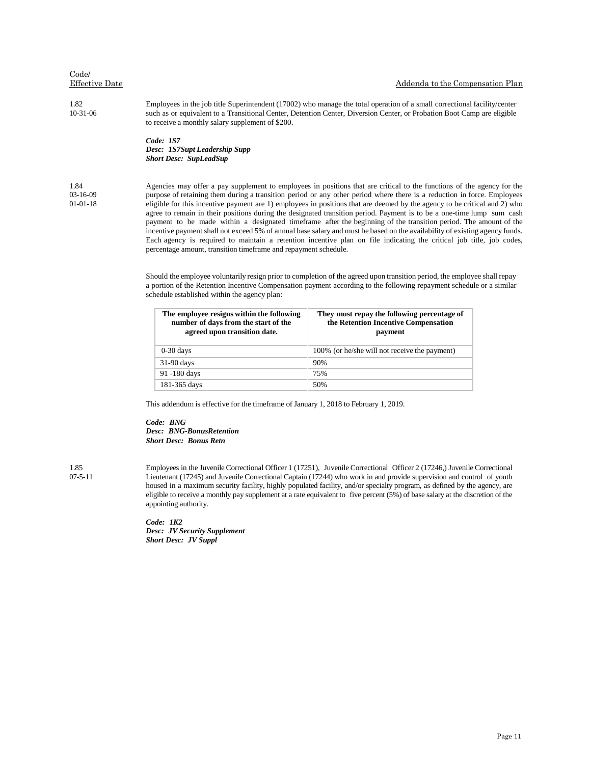#### Effective Date Addenda to the Compensation Plan

1.82 10-31-06 Employees in the job title Superintendent (17002) who manage the total operation of a small correctional facility/center such as or equivalent to a Transitional Center, Detention Center, Diversion Center, or Probation Boot Camp are eligible to receive a monthly salary supplement of \$200.

> *Code: 1S7 Desc: 1S7Supt Leadership Supp Short Desc: SupLeadSup*

#### 1.84 03-16-09 01-01-18

Agencies may offer a pay supplement to employees in positions that are critical to the functions of the agency for the purpose of retaining them during a transition period or any other period where there is a reduction in force. Employees eligible for this incentive payment are 1) employees in positions that are deemed by the agency to be critical and 2) who agree to remain in their positions during the designated transition period. Payment is to be a one-time lump sum cash payment to be made within a designated timeframe after the beginning of the transition period. The amount of the incentive payment shall not exceed 5% of annual base salary and must be based on the availability of existing agency funds. Each agency is required to maintain a retention incentive plan on file indicating the critical job title, job codes, percentage amount, transition timeframe and repayment schedule.

Should the employee voluntarily resign prior to completion of the agreed upon transition period, the employee shall repay a portion of the Retention Incentive Compensation payment according to the following repayment schedule or a similar schedule established within the agency plan:

| The employee resigns within the following<br>number of days from the start of the<br>agreed upon transition date. | They must repay the following percentage of<br>the Retention Incentive Compensation<br>payment |
|-------------------------------------------------------------------------------------------------------------------|------------------------------------------------------------------------------------------------|
| $0-30$ days                                                                                                       | 100% (or he/she will not receive the payment)                                                  |
| $31-90$ days                                                                                                      | 90%                                                                                            |
| 91 -180 days                                                                                                      | 75%                                                                                            |
| 181-365 days                                                                                                      | 50%                                                                                            |

This addendum is effective for the timeframe of January 1, 2018 to February 1, 2019.

*Code: BNG Desc: BNG-BonusRetention Short Desc: Bonus Retn*

1.85 07-5-11 Employees in the Juvenile Correctional Officer 1 (17251), Juvenile Correctional Officer 2 (17246,) Juvenile Correctional Lieutenant (17245) and Juvenile Correctional Captain (17244) who work in and provide supervision and control of youth housed in a maximum security facility, highly populated facility, and/or specialty program, as defined by the agency, are eligible to receive a monthly pay supplement at a rate equivalent to five percent (5%) of base salary at the discretion of the appointing authority.

*Code: 1K2 Desc: JV Security Supplement Short Desc: JV Suppl*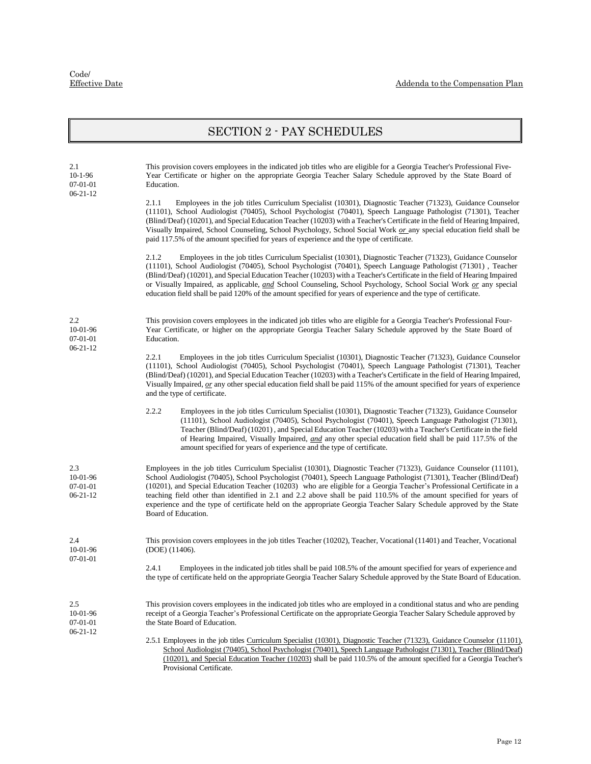### SECTION 2 - PAY SCHEDULES

| 2.1<br>$10-1-96$<br>07-01-01                    | This provision covers employees in the indicated job titles who are eligible for a Georgia Teacher's Professional Five-<br>Year Certificate or higher on the appropriate Georgia Teacher Salary Schedule approved by the State Board of<br>Education.                                                                                                                                                                                                                                                                                                                                                                                   |  |  |
|-------------------------------------------------|-----------------------------------------------------------------------------------------------------------------------------------------------------------------------------------------------------------------------------------------------------------------------------------------------------------------------------------------------------------------------------------------------------------------------------------------------------------------------------------------------------------------------------------------------------------------------------------------------------------------------------------------|--|--|
| $06 - 21 - 12$                                  | 2.1.1<br>Employees in the job titles Curriculum Specialist (10301), Diagnostic Teacher (71323), Guidance Counselor<br>(11101), School Audiologist (70405), School Psychologist (70401), Speech Language Pathologist (71301), Teacher<br>(Blind/Deaf) (10201), and Special Education Teacher (10203) with a Teacher's Certificate in the field of Hearing Impaired,<br>Visually Impaired, School Counseling, School Psychology, School Social Work or any special education field shall be<br>paid 117.5% of the amount specified for years of experience and the type of certificate.                                                   |  |  |
|                                                 | 2.1.2<br>Employees in the job titles Curriculum Specialist (10301), Diagnostic Teacher (71323), Guidance Counselor<br>(11101), School Audiologist (70405), School Psychologist (70401), Speech Language Pathologist (71301), Teacher<br>(Blind/Deaf) (10201), and Special Education Teacher (10203) with a Teacher's Certificate in the field of Hearing Impaired<br>or Visually Impaired, as applicable, and School Counseling, School Psychology, School Social Work or any special<br>education field shall be paid 120% of the amount specified for years of experience and the type of certificate.                                |  |  |
| 2.2<br>10-01-96<br>07-01-01<br>$06 - 21 - 12$   | This provision covers employees in the indicated job titles who are eligible for a Georgia Teacher's Professional Four-<br>Year Certificate, or higher on the appropriate Georgia Teacher Salary Schedule approved by the State Board of<br>Education.                                                                                                                                                                                                                                                                                                                                                                                  |  |  |
|                                                 | 2.2.1<br>Employees in the job titles Curriculum Specialist (10301), Diagnostic Teacher (71323), Guidance Counselor<br>(11101), School Audiologist (70405), School Psychologist (70401), Speech Language Pathologist (71301), Teacher<br>(Blind/Deaf) (10201), and Special Education Teacher (10203) with a Teacher's Certificate in the field of Hearing Impaired,<br>Visually Impaired, <u>or</u> any other special education field shall be paid 115% of the amount specified for years of experience<br>and the type of certificate.                                                                                                 |  |  |
|                                                 | 2.2.2<br>Employees in the job titles Curriculum Specialist (10301), Diagnostic Teacher (71323), Guidance Counselor<br>(11101), School Audiologist (70405), School Psychologist (70401), Speech Language Pathologist (71301),<br>Teacher (Blind/Deaf) (10201), and Special Education Teacher (10203) with a Teacher's Certificate in the field<br>of Hearing Impaired, Visually Impaired, and any other special education field shall be paid 117.5% of the<br>amount specified for years of experience and the type of certificate.                                                                                                     |  |  |
| 2.3<br>10-01-96<br>$07-01-01$<br>$06 - 21 - 12$ | Employees in the job titles Curriculum Specialist (10301), Diagnostic Teacher (71323), Guidance Counselor (11101),<br>School Audiologist (70405), School Psychologist (70401), Speech Language Pathologist (71301), Teacher (Blind/Deaf)<br>(10201), and Special Education Teacher (10203) who are eligible for a Georgia Teacher's Professional Certificate in a<br>teaching field other than identified in 2.1 and 2.2 above shall be paid 110.5% of the amount specified for years of<br>experience and the type of certificate held on the appropriate Georgia Teacher Salary Schedule approved by the State<br>Board of Education. |  |  |
| 2.4<br>10-01-96<br>07-01-01                     | This provision covers employees in the job titles Teacher (10202), Teacher, Vocational (11401) and Teacher, Vocational<br>(DOE) (11406).                                                                                                                                                                                                                                                                                                                                                                                                                                                                                                |  |  |
|                                                 | 2.4.1<br>Employees in the indicated job titles shall be paid 108.5% of the amount specified for years of experience and<br>the type of certificate held on the appropriate Georgia Teacher Salary Schedule approved by the State Board of Education.                                                                                                                                                                                                                                                                                                                                                                                    |  |  |
| 2.5<br>10-01-96<br>$07-01-01$<br>$06 - 21 - 12$ | This provision covers employees in the indicated job titles who are employed in a conditional status and who are pending<br>receipt of a Georgia Teacher's Professional Certificate on the appropriate Georgia Teacher Salary Schedule approved by<br>the State Board of Education.                                                                                                                                                                                                                                                                                                                                                     |  |  |
|                                                 | 2.5.1 Employees in the job titles Curriculum Specialist (10301), Diagnostic Teacher (71323), Guidance Counselor (11101),<br>School Audiologist (70405), School Psychologist (70401), Speech Language Pathologist (71301), Teacher (Blind/Deaf)<br>(10201), and Special Education Teacher (10203) shall be paid 110.5% of the amount specified for a Georgia Teacher's<br>Provisional Certificate.                                                                                                                                                                                                                                       |  |  |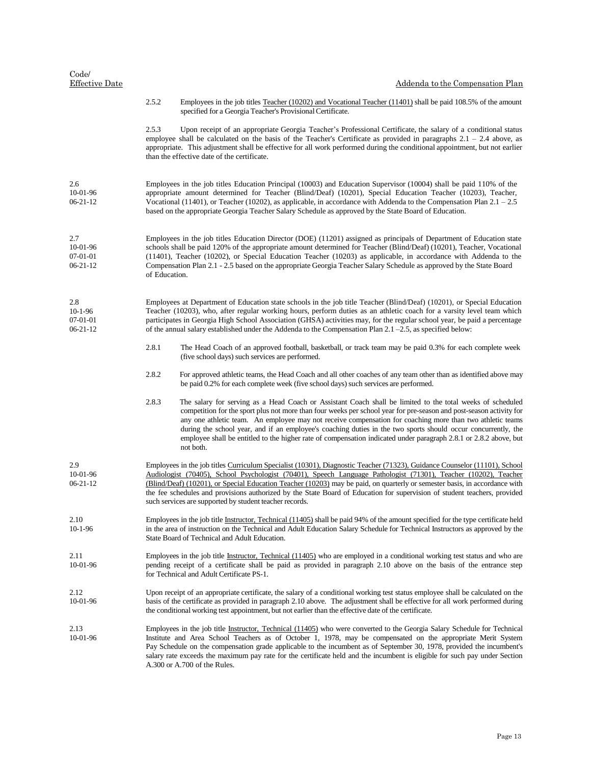| Code/<br><b>Effective Date</b>                 |                                                                                                                                                                                                                                                                                                                                                                                                                                                                                                                                                                    | Addenda to the Compensation Plan                                                                                                                                                                                                                                                                                                                                                                                                                                                                                                                                                                  |
|------------------------------------------------|--------------------------------------------------------------------------------------------------------------------------------------------------------------------------------------------------------------------------------------------------------------------------------------------------------------------------------------------------------------------------------------------------------------------------------------------------------------------------------------------------------------------------------------------------------------------|---------------------------------------------------------------------------------------------------------------------------------------------------------------------------------------------------------------------------------------------------------------------------------------------------------------------------------------------------------------------------------------------------------------------------------------------------------------------------------------------------------------------------------------------------------------------------------------------------|
|                                                | 2.5.2                                                                                                                                                                                                                                                                                                                                                                                                                                                                                                                                                              | Employees in the job titles Teacher (10202) and Vocational Teacher (11401) shall be paid 108.5% of the amount<br>specified for a Georgia Teacher's Provisional Certificate.                                                                                                                                                                                                                                                                                                                                                                                                                       |
|                                                | 2.5.3                                                                                                                                                                                                                                                                                                                                                                                                                                                                                                                                                              | Upon receipt of an appropriate Georgia Teacher's Professional Certificate, the salary of a conditional status<br>employee shall be calculated on the basis of the Teacher's Certificate as provided in paragraphs $2.1 - 2.4$ above, as<br>appropriate. This adjustment shall be effective for all work performed during the conditional appointment, but not earlier<br>than the effective date of the certificate.                                                                                                                                                                              |
| 2.6<br>10-01-96<br>$06 - 21 - 12$              |                                                                                                                                                                                                                                                                                                                                                                                                                                                                                                                                                                    | Employees in the job titles Education Principal (10003) and Education Supervisor (10004) shall be paid 110% of the<br>appropriate amount determined for Teacher (Blind/Deaf) (10201), Special Education Teacher (10203), Teacher,<br>Vocational (11401), or Teacher (10202), as applicable, in accordance with Addenda to the Compensation Plan $2.1 - 2.5$<br>based on the appropriate Georgia Teacher Salary Schedule as approved by the State Board of Education.                                                                                                                              |
| 2.7<br>10-01-96<br>07-01-01<br>$06 - 21 - 12$  | Employees in the job titles Education Director (DOE) (11201) assigned as principals of Department of Education state<br>schools shall be paid 120% of the appropriate amount determined for Teacher (Blind/Deaf) (10201), Teacher, Vocational<br>(11401), Teacher (10202), or Special Education Teacher (10203) as applicable, in accordance with Addenda to the<br>Compensation Plan 2.1 - 2.5 based on the appropriate Georgia Teacher Salary Schedule as approved by the State Board<br>of Education.                                                           |                                                                                                                                                                                                                                                                                                                                                                                                                                                                                                                                                                                                   |
| 2.8<br>$10-1-96$<br>07-01-01<br>$06 - 21 - 12$ |                                                                                                                                                                                                                                                                                                                                                                                                                                                                                                                                                                    | Employees at Department of Education state schools in the job title Teacher (Blind/Deaf) (10201), or Special Education<br>Teacher (10203), who, after regular working hours, perform duties as an athletic coach for a varsity level team which<br>participates in Georgia High School Association (GHSA) activities may, for the regular school year, be paid a percentage<br>of the annual salary established under the Addenda to the Compensation Plan $2.1 - 2.5$ , as specified below:                                                                                                      |
|                                                | 2.8.1                                                                                                                                                                                                                                                                                                                                                                                                                                                                                                                                                              | The Head Coach of an approved football, basketball, or track team may be paid 0.3% for each complete week<br>(five school days) such services are performed.                                                                                                                                                                                                                                                                                                                                                                                                                                      |
|                                                | 2.8.2                                                                                                                                                                                                                                                                                                                                                                                                                                                                                                                                                              | For approved athletic teams, the Head Coach and all other coaches of any team other than as identified above may<br>be paid 0.2% for each complete week (five school days) such services are performed.                                                                                                                                                                                                                                                                                                                                                                                           |
|                                                | 2.8.3                                                                                                                                                                                                                                                                                                                                                                                                                                                                                                                                                              | The salary for serving as a Head Coach or Assistant Coach shall be limited to the total weeks of scheduled<br>competition for the sport plus not more than four weeks per school year for pre-season and post-season activity for<br>any one athletic team. An employee may not receive compensation for coaching more than two athletic teams<br>during the school year, and if an employee's coaching duties in the two sports should occur concurrently, the<br>employee shall be entitled to the higher rate of compensation indicated under paragraph 2.8.1 or 2.8.2 above, but<br>not both. |
| 2.9<br>10-01-96<br>$06 - 21 - 12$              | Employees in the job titles Curriculum Specialist (10301), Diagnostic Teacher (71323), Guidance Counselor (11101), School<br>Audiologist (70405), School Psychologist (70401), Speech Language Pathologist (71301), Teacher (10202), Teacher<br>(Blind/Deaf) (10201), or Special Education Teacher (10203) may be paid, on quarterly or semester basis, in accordance with<br>the fee schedules and provisions authorized by the State Board of Education for supervision of student teachers, provided<br>such services are supported by student teacher records. |                                                                                                                                                                                                                                                                                                                                                                                                                                                                                                                                                                                                   |
| 2.10<br>$10-1-96$                              | Employees in the job title Instructor, Technical (11405) shall be paid 94% of the amount specified for the type certificate held<br>in the area of instruction on the Technical and Adult Education Salary Schedule for Technical Instructors as approved by the<br>State Board of Technical and Adult Education.                                                                                                                                                                                                                                                  |                                                                                                                                                                                                                                                                                                                                                                                                                                                                                                                                                                                                   |
| 2.11<br>10-01-96                               | Employees in the job title Instructor, Technical (11405) who are employed in a conditional working test status and who are<br>pending receipt of a certificate shall be paid as provided in paragraph 2.10 above on the basis of the entrance step<br>for Technical and Adult Certificate PS-1.                                                                                                                                                                                                                                                                    |                                                                                                                                                                                                                                                                                                                                                                                                                                                                                                                                                                                                   |
| 2.12<br>10-01-96                               | Upon receipt of an appropriate certificate, the salary of a conditional working test status employee shall be calculated on the<br>basis of the certificate as provided in paragraph 2.10 above. The adjustment shall be effective for all work performed during<br>the conditional working test appointment, but not earlier than the effective date of the certificate.                                                                                                                                                                                          |                                                                                                                                                                                                                                                                                                                                                                                                                                                                                                                                                                                                   |
| 2.13<br>10-01-96                               | Employees in the job title Instructor, Technical (11405) who were converted to the Georgia Salary Schedule for Technical<br>Institute and Area School Teachers as of October 1, 1978, may be compensated on the appropriate Merit System<br>Pay Schedule on the compensation grade applicable to the incumbent as of September 30, 1978, provided the incumbent's<br>salary rate exceeds the maximum pay rate for the certificate held and the incumbent is eligible for such pay under Section<br>A.300 or A.700 of the Rules.                                    |                                                                                                                                                                                                                                                                                                                                                                                                                                                                                                                                                                                                   |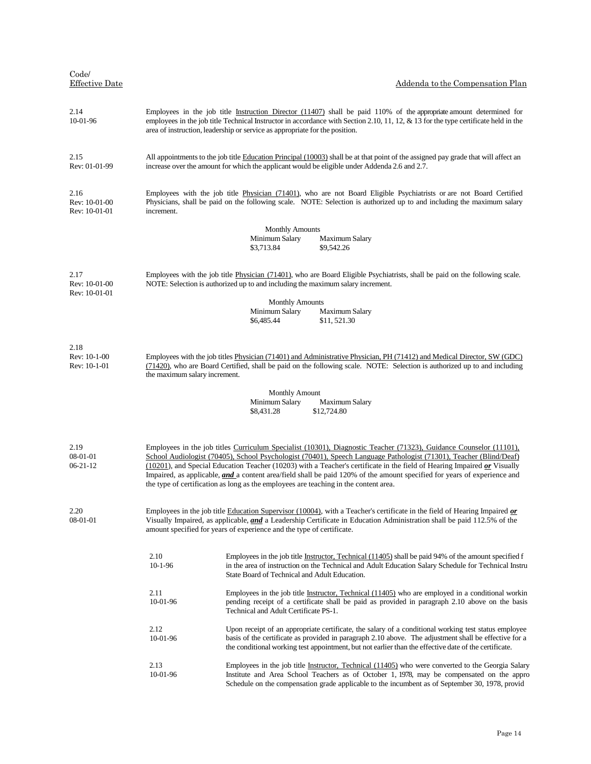| Code/<br><b>Effective Date</b>         |                                                                                                                                                                                                                                                                                                                                                                                                                                                                                                                                                                                                 | Addenda to the Compensation Plan                                                                                                                                                                                                                                                                                             |  |  |
|----------------------------------------|-------------------------------------------------------------------------------------------------------------------------------------------------------------------------------------------------------------------------------------------------------------------------------------------------------------------------------------------------------------------------------------------------------------------------------------------------------------------------------------------------------------------------------------------------------------------------------------------------|------------------------------------------------------------------------------------------------------------------------------------------------------------------------------------------------------------------------------------------------------------------------------------------------------------------------------|--|--|
| 2.14<br>10-01-96                       | Employees in the job title Instruction Director (11407) shall be paid 110% of the appropriate amount determined for<br>employees in the job title Technical Instructor in accordance with Section 2.10, 11, 12, & 13 for the type certificate held in the<br>area of instruction, leadership or service as appropriate for the position.                                                                                                                                                                                                                                                        |                                                                                                                                                                                                                                                                                                                              |  |  |
| 2.15<br>Rev: 01-01-99                  |                                                                                                                                                                                                                                                                                                                                                                                                                                                                                                                                                                                                 | All appointments to the job title Education Principal (10003) shall be at that point of the assigned pay grade that will affect an<br>increase over the amount for which the applicant would be eligible under Addenda 2.6 and 2.7.                                                                                          |  |  |
| 2.16<br>Rev: 10-01-00<br>Rev: 10-01-01 | Employees with the job title Physician (71401), who are not Board Eligible Psychiatrists or are not Board Certified<br>Physicians, shall be paid on the following scale. NOTE: Selection is authorized up to and including the maximum salary<br>increment.                                                                                                                                                                                                                                                                                                                                     |                                                                                                                                                                                                                                                                                                                              |  |  |
|                                        |                                                                                                                                                                                                                                                                                                                                                                                                                                                                                                                                                                                                 | <b>Monthly Amounts</b>                                                                                                                                                                                                                                                                                                       |  |  |
|                                        |                                                                                                                                                                                                                                                                                                                                                                                                                                                                                                                                                                                                 | Minimum Salary<br>Maximum Salary<br>\$3,713.84<br>\$9,542.26                                                                                                                                                                                                                                                                 |  |  |
| 2.17<br>Rev: 10-01-00<br>Rev: 10-01-01 | Employees with the job title Physician (71401), who are Board Eligible Psychiatrists, shall be paid on the following scale.<br>NOTE: Selection is authorized up to and including the maximum salary increment.                                                                                                                                                                                                                                                                                                                                                                                  |                                                                                                                                                                                                                                                                                                                              |  |  |
|                                        |                                                                                                                                                                                                                                                                                                                                                                                                                                                                                                                                                                                                 | <b>Monthly Amounts</b>                                                                                                                                                                                                                                                                                                       |  |  |
|                                        |                                                                                                                                                                                                                                                                                                                                                                                                                                                                                                                                                                                                 | Minimum Salary<br>Maximum Salary<br>\$6,485.44<br>\$11,521.30                                                                                                                                                                                                                                                                |  |  |
| 2.18<br>Rev: 10-1-00<br>Rev: 10-1-01   | the maximum salary increment.                                                                                                                                                                                                                                                                                                                                                                                                                                                                                                                                                                   | Employees with the job titles Physician (71401) and Administrative Physician, PH (71412) and Medical Director, SW (GDC)<br>(71420), who are Board Certified, shall be paid on the following scale. NOTE: Selection is authorized up to and including                                                                         |  |  |
|                                        |                                                                                                                                                                                                                                                                                                                                                                                                                                                                                                                                                                                                 | <b>Monthly Amount</b>                                                                                                                                                                                                                                                                                                        |  |  |
|                                        |                                                                                                                                                                                                                                                                                                                                                                                                                                                                                                                                                                                                 | Minimum Salary<br>Maximum Salary                                                                                                                                                                                                                                                                                             |  |  |
|                                        |                                                                                                                                                                                                                                                                                                                                                                                                                                                                                                                                                                                                 | \$8,431.28<br>\$12,724.80                                                                                                                                                                                                                                                                                                    |  |  |
|                                        |                                                                                                                                                                                                                                                                                                                                                                                                                                                                                                                                                                                                 |                                                                                                                                                                                                                                                                                                                              |  |  |
| 2.19<br>08-01-01<br>$06 - 21 - 12$     | Employees in the job titles Curriculum Specialist (10301), Diagnostic Teacher (71323), Guidance Counselor (11101),<br>School Audiologist (70405), School Psychologist (70401), Speech Language Pathologist (71301), Teacher (Blind/Deaf)<br>(10201), and Special Education Teacher (10203) with a Teacher's certificate in the field of Hearing Impaired or Visually<br>Impaired, as applicable, <i>and</i> a content area/field shall be paid 120% of the amount specified for years of experience and<br>the type of certification as long as the employees are teaching in the content area. |                                                                                                                                                                                                                                                                                                                              |  |  |
| 2.20<br>08-01-01                       |                                                                                                                                                                                                                                                                                                                                                                                                                                                                                                                                                                                                 | Employees in the job title Education Supervisor (10004), with a Teacher's certificate in the field of Hearing Impaired or<br>Visually Impaired, as applicable, and a Leadership Certificate in Education Administration shall be paid 112.5% of the<br>amount specified for years of experience and the type of certificate. |  |  |
|                                        | 2.10<br>$10-1-96$                                                                                                                                                                                                                                                                                                                                                                                                                                                                                                                                                                               | Employees in the job title Instructor, Technical $(11405)$ shall be paid 94% of the amount specified f<br>in the area of instruction on the Technical and Adult Education Salary Schedule for Technical Instru<br>State Board of Technical and Adult Education.                                                              |  |  |
|                                        | 2.11<br>10-01-96                                                                                                                                                                                                                                                                                                                                                                                                                                                                                                                                                                                | Employees in the job title Instructor, Technical (11405) who are employed in a conditional workin<br>pending receipt of a certificate shall be paid as provided in paragraph 2.10 above on the basis<br>Technical and Adult Certificate PS-1.                                                                                |  |  |
|                                        | 2.12<br>10-01-96                                                                                                                                                                                                                                                                                                                                                                                                                                                                                                                                                                                | Upon receipt of an appropriate certificate, the salary of a conditional working test status employee<br>basis of the certificate as provided in paragraph 2.10 above. The adjustment shall be effective for a<br>the conditional working test appointment, but not earlier than the effective date of the certificate.       |  |  |
|                                        | 2.13<br>10-01-96                                                                                                                                                                                                                                                                                                                                                                                                                                                                                                                                                                                | Employees in the job title Instructor, Technical (11405) who were converted to the Georgia Salary<br>Institute and Area School Teachers as of October 1, 1978, may be compensated on the appro<br>Schedule on the compensation grade applicable to the incumbent as of September 30, 1978, provid                            |  |  |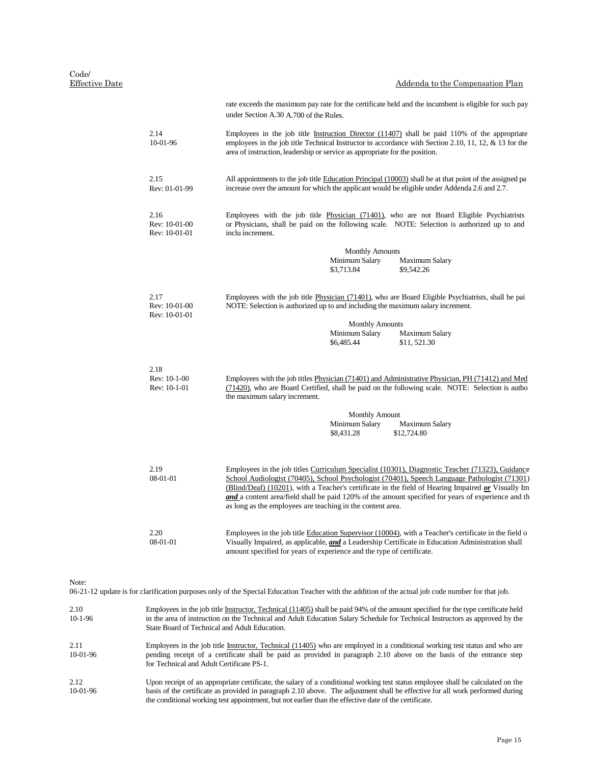#### Code/ Effective Date

|                                        | Addenda to the Compensation Plan                                                                                                                                                                                                                                                        |  |  |  |  |
|----------------------------------------|-----------------------------------------------------------------------------------------------------------------------------------------------------------------------------------------------------------------------------------------------------------------------------------------|--|--|--|--|
|                                        | rate exceeds the maximum pay rate for the certificate held and the incumbent is eligible for such pay<br>under Section A.30 A.700 of the Rules.                                                                                                                                         |  |  |  |  |
| 2.14<br>10-01-96                       | Employees in the job title Instruction Director $(11407)$ shall be paid 110% of the appropriate<br>employees in the job title Technical Instructor in accordance with Section 2.10, 11, 12, & 13 for the<br>area of instruction, leadership or service as appropriate for the position. |  |  |  |  |
| 2.15<br>Rev: 01-01-99                  | All appointments to the job title Education Principal (10003) shall be at that point of the assigned pa<br>increase over the amount for which the applicant would be eligible under Addenda 2.6 and 2.7.                                                                                |  |  |  |  |
| 2.16<br>Rev: 10-01-00<br>Rev: 10-01-01 | Employees with the job title Physician (71401), who are not Board Eligible Psychiatrists<br>or Physicians, shall be paid on the following scale. NOTE: Selection is authorized up to and<br>inclu increment.                                                                            |  |  |  |  |
|                                        | <b>Monthly Amounts</b>                                                                                                                                                                                                                                                                  |  |  |  |  |
|                                        | Minimum Salary<br><b>Maximum Salary</b>                                                                                                                                                                                                                                                 |  |  |  |  |
|                                        | \$3,713.84<br>\$9,542.26                                                                                                                                                                                                                                                                |  |  |  |  |
| 2.17<br>Rev: 10-01-00<br>Rev: 10-01-01 | Employees with the job title Physician (71401), who are Board Eligible Psychiatrists, shall be pai<br>NOTE: Selection is authorized up to and including the maximum salary increment.                                                                                                   |  |  |  |  |
|                                        | <b>Monthly Amounts</b>                                                                                                                                                                                                                                                                  |  |  |  |  |
|                                        | Minimum Salary<br><b>Maximum Salary</b>                                                                                                                                                                                                                                                 |  |  |  |  |
|                                        | \$6,485.44<br>\$11,521.30                                                                                                                                                                                                                                                               |  |  |  |  |
| 2.18                                   |                                                                                                                                                                                                                                                                                         |  |  |  |  |
| Rev: 10-1-00<br>Rev: 10-1-01           | Employees with the job titles Physician (71401) and Administrative Physician, PH (71412) and Med<br>(71420), who are Board Certified, shall be paid on the following scale. NOTE: Selection is author<br>the maximum salary increment.                                                  |  |  |  |  |
|                                        | <b>Monthly Amount</b>                                                                                                                                                                                                                                                                   |  |  |  |  |
|                                        | Minimum Salary<br><b>Maximum Salary</b>                                                                                                                                                                                                                                                 |  |  |  |  |
|                                        | \$8,431.28<br>\$12,724.80                                                                                                                                                                                                                                                               |  |  |  |  |
|                                        |                                                                                                                                                                                                                                                                                         |  |  |  |  |
| 2.19                                   | Employees in the job titles Curriculum Specialist (10301), Diagnostic Teacher (71323), Guidance                                                                                                                                                                                         |  |  |  |  |

School Audiologist (70405), School Psychologist (70401), Speech Language Pathologist (71301) (Blind/Deaf) (10201), with a Teacher's certificate in the field of Hearing Impaired *or* Visually Im *and* a content area/field shall be paid 120% of the amount specified for years of experience and th

Employees in the job title Education Supervisor (10004), with a Teacher's certificate in the field o Visually Impaired, as applicable, *and* a Leadership Certificate in Education Administration shall

08-01-01

2.20 08-01-01

06-21-12 update is for clarification purposes only of the Special Education Teacher with the addition of the actual job code number for that job.

as long as the employees are teaching in the content area.

amount specified for years of experience and the type of certificate.

| 2.10<br>$10-1-96$  | Employees in the job title Instructor, Technical (11405) shall be paid 94% of the amount specified for the type certificate held<br>in the area of instruction on the Technical and Adult Education Salary Schedule for Technical Instructors as approved by the<br>State Board of Technical and Adult Education.                                                         |
|--------------------|---------------------------------------------------------------------------------------------------------------------------------------------------------------------------------------------------------------------------------------------------------------------------------------------------------------------------------------------------------------------------|
| 2.11<br>$10-01-96$ | Employees in the job title Instructor, Technical (11405) who are employed in a conditional working test status and who are<br>pending receipt of a certificate shall be paid as provided in paragraph 2.10 above on the basis of the entrance step<br>for Technical and Adult Certificate PS-1.                                                                           |
| 2.12<br>$10-01-96$ | Upon receipt of an appropriate certificate, the salary of a conditional working test status employee shall be calculated on the<br>basis of the certificate as provided in paragraph 2.10 above. The adjustment shall be effective for all work performed during<br>the conditional working test appointment, but not earlier than the effective date of the certificate. |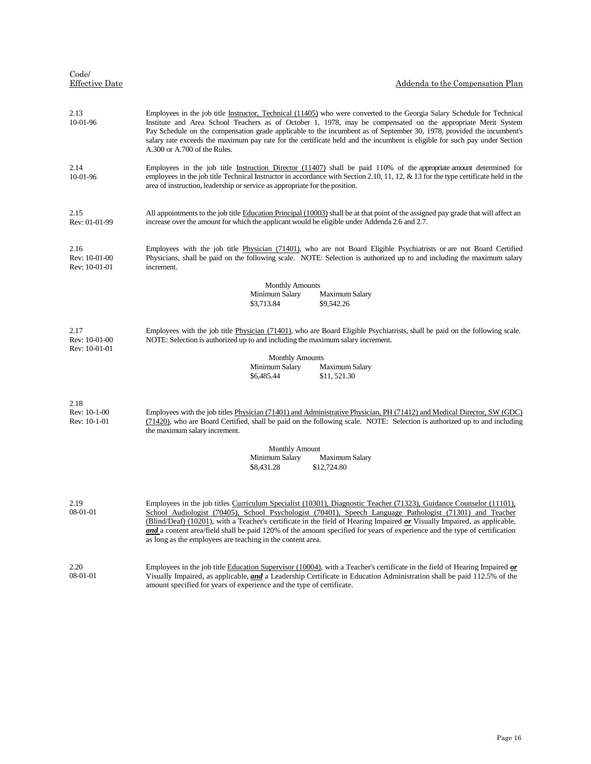| Code/<br>Effective Date                                                                                                                                                                                                                                  | Addenda to the Compensation Plan                                                                                                                                                                                                                                                                                                                                                                                                                                                                                                                              |
|----------------------------------------------------------------------------------------------------------------------------------------------------------------------------------------------------------------------------------------------------------|---------------------------------------------------------------------------------------------------------------------------------------------------------------------------------------------------------------------------------------------------------------------------------------------------------------------------------------------------------------------------------------------------------------------------------------------------------------------------------------------------------------------------------------------------------------|
| 2.13<br>10-01-96                                                                                                                                                                                                                                         | Employees in the job title Instructor, Technical (11405) who were converted to the Georgia Salary Schedule for Technical<br>Institute and Area School Teachers as of October 1, 1978, may be compensated on the appropriate Merit System<br>Pay Schedule on the compensation grade applicable to the incumbent as of September 30, 1978, provided the incumbent's<br>salary rate exceeds the maximum pay rate for the certificate held and the incumbent is eligible for such pay under Section<br>A.300 or A.700 of the Rules.                               |
| 2.14<br>10-01-96                                                                                                                                                                                                                                         | Employees in the job title Instruction Director (11407) shall be paid 110% of the appropriate amount determined for<br>employees in the job title Technical Instructor in accordance with Section 2.10, 11, 12, & 13 for the type certificate held in the<br>area of instruction, leadership or service as appropriate for the position.                                                                                                                                                                                                                      |
| 2.15<br>Rev: 01-01-99                                                                                                                                                                                                                                    | All appointments to the job title Education Principal (10003) shall be at that point of the assigned pay grade that will affect an<br>increase over the amount for which the applicant would be eligible under Addenda 2.6 and 2.7.                                                                                                                                                                                                                                                                                                                           |
| 2.16<br>Rev: 10-01-00<br>Rev: 10-01-01                                                                                                                                                                                                                   | Employees with the job title Physician (71401), who are not Board Eligible Psychiatrists or are not Board Certified<br>Physicians, shall be paid on the following scale. NOTE: Selection is authorized up to and including the maximum salary<br>increment.                                                                                                                                                                                                                                                                                                   |
|                                                                                                                                                                                                                                                          | <b>Monthly Amounts</b><br>Minimum Salary<br>Maximum Salary<br>\$3,713.84<br>\$9,542.26                                                                                                                                                                                                                                                                                                                                                                                                                                                                        |
| Employees with the job title Physician (71401), who are Board Eligible Psychiatrists, shall be paid on the following scale.<br>2.17<br>Rev: 10-01-00<br>NOTE: Selection is authorized up to and including the maximum salary increment.<br>Rev: 10-01-01 |                                                                                                                                                                                                                                                                                                                                                                                                                                                                                                                                                               |
|                                                                                                                                                                                                                                                          | <b>Monthly Amounts</b><br>Minimum Salary<br>Maximum Salary<br>\$6,485.44<br>\$11,521.30                                                                                                                                                                                                                                                                                                                                                                                                                                                                       |
| 2.18<br>Rev: 10-1-00<br>Rev: 10-1-01                                                                                                                                                                                                                     | Employees with the job titles Physician (71401) and Administrative Physician, PH (71412) and Medical Director, SW (GDC)<br>(71420), who are Board Certified, shall be paid on the following scale. NOTE: Selection is authorized up to and including<br>the maximum salary increment.                                                                                                                                                                                                                                                                         |
|                                                                                                                                                                                                                                                          | <b>Monthly Amount</b><br>Minimum Salary<br>Maximum Salary<br>\$8,431.28<br>\$12,724.80                                                                                                                                                                                                                                                                                                                                                                                                                                                                        |
| 2.19<br>08-01-01                                                                                                                                                                                                                                         | Employees in the job titles Curriculum Specialist (10301), Diagnostic Teacher (71323), Guidance Counselor (11101),<br>School Audiologist (70405), School Psychologist (70401), Speech Language Pathologist (71301) and Teacher<br>(Blind/Deaf) (10201), with a Teacher's certificate in the field of Hearing Impaired $\alpha r$ Visually Impaired, as applicable,<br>and a content area/field shall be paid 120% of the amount specified for years of experience and the type of certification<br>as long as the employees are teaching in the content area. |
| 2.20<br>$08 - 01 - 01$                                                                                                                                                                                                                                   | Employees in the job title Education Supervisor (10004), with a Teacher's certificate in the field of Hearing Impaired $or$<br>Visually Impaired, as applicable, and a Leadership Certificate in Education Administration shall be paid 112.5% of the<br>amount specified for years of experience and the type of certificate.                                                                                                                                                                                                                                |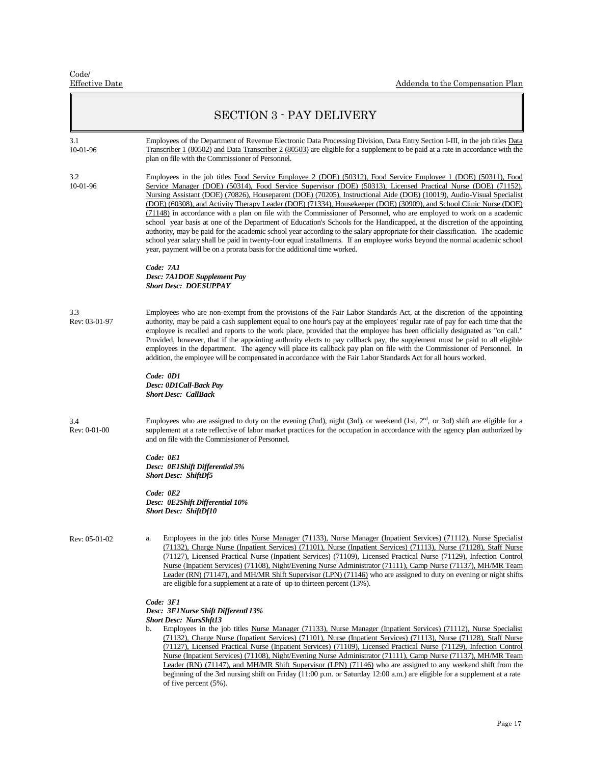|                      | <b>SECTION 3 - PAY DELIVERY</b>                                                                                                                                                                                                                                                                                                                                                                                                                                                                                                                                                                                                                                                                                                                                                                                                                                                                                                                                                                                                                                                  |
|----------------------|----------------------------------------------------------------------------------------------------------------------------------------------------------------------------------------------------------------------------------------------------------------------------------------------------------------------------------------------------------------------------------------------------------------------------------------------------------------------------------------------------------------------------------------------------------------------------------------------------------------------------------------------------------------------------------------------------------------------------------------------------------------------------------------------------------------------------------------------------------------------------------------------------------------------------------------------------------------------------------------------------------------------------------------------------------------------------------|
| 3.1<br>10-01-96      | Employees of the Department of Revenue Electronic Data Processing Division, Data Entry Section I-III, in the job titles Data<br>Transcriber 1 (80502) and Data Transcriber 2 (80503) are eligible for a supplement to be paid at a rate in accordance with the<br>plan on file with the Commissioner of Personnel.                                                                                                                                                                                                                                                                                                                                                                                                                                                                                                                                                                                                                                                                                                                                                               |
| 3.2<br>10-01-96      | Employees in the job titles Food Service Employee 2 (DOE) (50312), Food Service Employee 1 (DOE) (50311), Food<br>Service Manager (DOE) (50314), Food Service Supervisor (DOE) (50313), Licensed Practical Nurse (DOE) (71152),<br>Nursing Assistant (DOE) (70826), Houseparent (DOE) (70205), Instructional Aide (DOE) (10019), Audio-Visual Specialist<br>(DOE) (60308), and Activity Therapy Leader (DOE) (71334), Housekeeper (DOE) (30909), and School Clinic Nurse (DOE)<br>(71148) in accordance with a plan on file with the Commissioner of Personnel, who are employed to work on a academic<br>school year basis at one of the Department of Education's Schools for the Handicapped, at the discretion of the appointing<br>authority, may be paid for the academic school year according to the salary appropriate for their classification. The academic<br>school year salary shall be paid in twenty-four equal installments. If an employee works beyond the normal academic school<br>year, payment will be on a prorata basis for the additional time worked. |
|                      | Code: 7A1<br>Desc: 7A1DOE Supplement Pay<br><b>Short Desc: DOESUPPAY</b>                                                                                                                                                                                                                                                                                                                                                                                                                                                                                                                                                                                                                                                                                                                                                                                                                                                                                                                                                                                                         |
| 3.3<br>Rev: 03-01-97 | Employees who are non-exempt from the provisions of the Fair Labor Standards Act, at the discretion of the appointing<br>authority, may be paid a cash supplement equal to one hour's pay at the employees' regular rate of pay for each time that the<br>employee is recalled and reports to the work place, provided that the employee has been officially designated as "on call."<br>Provided, however, that if the appointing authority elects to pay callback pay, the supplement must be paid to all eligible<br>employees in the department. The agency will place its callback pay plan on file with the Commissioner of Personnel. In<br>addition, the employee will be compensated in accordance with the Fair Labor Standards Act for all hours worked.                                                                                                                                                                                                                                                                                                              |
|                      | Code: 0D1<br>Desc: 0D1Call-Back Pay<br><b>Short Desc: CallBack</b>                                                                                                                                                                                                                                                                                                                                                                                                                                                                                                                                                                                                                                                                                                                                                                                                                                                                                                                                                                                                               |
| 3.4<br>Rev: 0-01-00  | Employees who are assigned to duty on the evening (2nd), night (3rd), or weekend (1st, $2nd$ , or 3rd) shift are eligible for a<br>supplement at a rate reflective of labor market practices for the occupation in accordance with the agency plan authorized by<br>and on file with the Commissioner of Personnel.                                                                                                                                                                                                                                                                                                                                                                                                                                                                                                                                                                                                                                                                                                                                                              |
|                      | Code: 0E1<br>Desc: 0E1Shift Differential 5%<br><b>Short Desc: ShiftDf5</b>                                                                                                                                                                                                                                                                                                                                                                                                                                                                                                                                                                                                                                                                                                                                                                                                                                                                                                                                                                                                       |
|                      | Code: 0E2<br>Desc: 0E2Shift Differential 10%<br><b>Short Desc: ShiftDf10</b>                                                                                                                                                                                                                                                                                                                                                                                                                                                                                                                                                                                                                                                                                                                                                                                                                                                                                                                                                                                                     |
| Rev: 05-01-02        | Employees in the job titles Nurse Manager (71133), Nurse Manager (Inpatient Services) (71112), Nurse Specialist<br>a.<br>(71132), Charge Nurse (Inpatient Services) (71101), Nurse (Inpatient Services) (71113), Nurse (71128), Staff Nurse<br>(71127), Licensed Practical Nurse (Inpatient Services) (71109), Licensed Practical Nurse (71129), Infection Control<br>Nurse (Inpatient Services) (71108), Night/Evening Nurse Administrator (71111), Camp Nurse (71137), MH/MR Team<br>Leader (RN) (71147), and MH/MR Shift Supervisor (LPN) (71146) who are assigned to duty on evening or night shifts<br>are eligible for a supplement at a rate of up to thirteen percent $(13\%)$ .                                                                                                                                                                                                                                                                                                                                                                                         |
|                      | Code: 3F1<br>Desc: 3F1Nurse Shift Differentl 13%<br><b>Short Desc: NursShft13</b><br>Employees in the job titles Nurse Manager (71133), Nurse Manager (Inpatient Services) (71112), Nurse Specialist<br>b.<br>(71132), Charge Nurse (Inpatient Services) (71101), Nurse (Inpatient Services) (71113), Nurse (71128), Staff Nurse<br>(71127), Licensed Practical Nurse (Inpatient Services) (71109), Licensed Practical Nurse (71129), Infection Control<br>Nurse (Inpatient Services) (71108), Night/Evening Nurse Administrator (71111), Camp Nurse (71137), MH/MR Team<br>Leader (RN) (71147), and MH/MR Shift Supervisor (LPN) (71146) who are assigned to any weekend shift from the<br>beginning of the 3rd nursing shift on Friday (11:00 p.m. or Saturday 12:00 a.m.) are eligible for a supplement at a rate                                                                                                                                                                                                                                                             |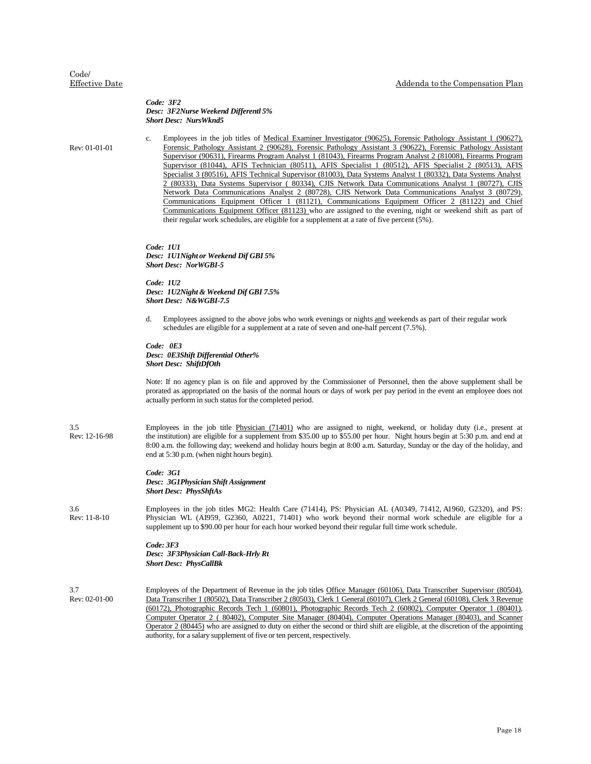#### *Code: 3F2 Desc: 3F2Nurse Weekend Differentl 5% Short Desc: NursWknd5*

Rev: 01-01-01

c. Employees in the job titles of Medical Examiner Investigator (90625), Forensic Pathology Assistant 1 (90627), Forensic Pathology Assistant 2 (90628), Forensic Pathology Assistant 3 (90622), Forensic Pathology Assistant Supervisor (90631), Firearms Program Analyst 1 (81043), Firearms Program Analyst 2 (81008), Firearms Program Supervisor (81044), AFIS Technician (80511), AFIS Specialist 1 (80512), AFIS Specialist 2 (80513), AFIS Specialist 3 (80516), AFIS Technical Supervisor (81003), Data Systems Analyst 1 (80332), Data Systems Analyst 2 (80333), Data Systems Supervisor ( 80334), CJIS Network Data Communications Analyst 1 (80727), CJIS Network Data Communications Analyst 2 (80728), CJIS Network Data Communications Analyst 3 (80729), Communications Equipment Officer 1 (81121), Communications Equipment Officer 2 (81122) and Chief Communications Equipment Officer (81123) who are assigned to the evening, night or weekend shift as part of their regular work schedules, are eligible for a supplement at a rate of five percent (5%).

*Code: 1U1 Desc: 1U1Night or Weekend Dif GBI 5% Short Desc: NorWGBI-5*

*Code: 1U2 Desc: 1U2Night & Weekend Dif GBI 7.5% Short Desc: N&WGBI-7.5*

d. Employees assigned to the above jobs who work evenings or nights and weekends as part of their regular work schedules are eligible for a supplement at a rate of seven and one-half percent (7.5%).

#### *Code: 0E3 Desc: 0E3Shift Differential Other% Short Desc: ShiftDfOth*

Note: If no agency plan is on file and approved by the Commissioner of Personnel, then the above supplement shall be prorated as appropriated on the basis of the normal hours or days of work per pay period in the event an employee does not actually perform in such status for the completed period.

3.5 Rev: 12-16-98 Employees in the job title Physician (71401) who are assigned to night, weekend, or holiday duty (i.e., present at the institution) are eligible for a supplement from \$35.00 up to \$55.00 per hour. Night hours begin at 5:30 p.m. and end at 8:00 a.m. the following day; weekend and holiday hours begin at 8:00 a.m. Saturday, Sunday or the day of the holiday, and end at 5:30 p.m. (when night hours begin).

> *Code: 3G1 Desc: 3G1Physician Shift Assignment Short Desc: PhysShftAs*

3.6 Rev: 11-8-10 Employees in the job titles MG2: Health Care (71414), PS: Physician AL (A0349, 71412, A1960, G2320), and PS: Physician WL (AI959, G2360, A0221, 71401) who work beyond their normal work schedule are eligible for a supplement up to \$90.00 per hour for each hour worked beyond their regular full time work schedule.

#### *Code: 3F3 Desc: 3F3Physician Call-Back-Hrly Rt Short Desc: PhysCallBk*

3.7 Rev: 02-01-00 Employees of the Department of Revenue in the job titles Office Manager (60106), Data Transcriber Supervisor (80504), Data Transcriber 1 (80502), Data Transcriber 2 (80503), Clerk 1 General (60107), Clerk 2 General (60108), Clerk 3 Revenue (60172), Photographic Records Tech 1 (60801), Photographic Records Tech 2 (60802), Computer Operator 1 (80401), Computer Operator 2 ( 80402), Computer Site Manager (80404), Computer Operations Manager (80403), and Scanner Operator 2 (80445) who are assigned to duty on either the second or third shift are eligible, at the discretion of the appointing authority, for a salary supplement of five or ten percent, respectively.